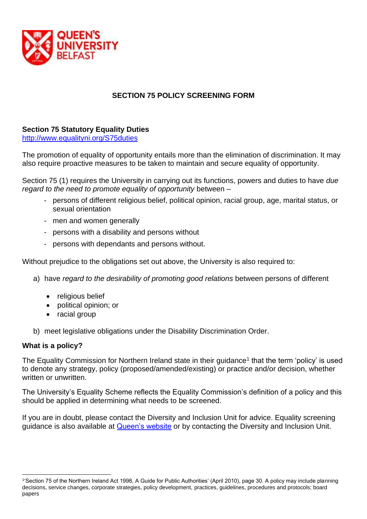

# **SECTION 75 POLICY SCREENING FORM**

# **Section 75 Statutory Equality Duties**

<http://www.equalityni.org/S75duties>

The promotion of equality of opportunity entails more than the elimination of discrimination. It may also require proactive measures to be taken to maintain and secure equality of opportunity.

Section 75 (1) requires the University in carrying out its functions, powers and duties to have *due regard to the need to promote equality of opportunity* between –

- persons of different religious belief, political opinion, racial group, age, marital status, or sexual orientation
- men and women generally
- persons with a disability and persons without
- persons with dependants and persons without.

Without prejudice to the obligations set out above, the University is also required to:

- a) have *regard to the desirability of promoting good relations* between persons of different
	- religious belief
	- political opinion; or
	- racial group
- b) meet legislative obligations under the Disability Discrimination Order.

### **What is a policy?**

The Equality Commission for Northern Ireland state in their guidance<sup>1</sup> that the term 'policy' is used to denote any strategy, policy (proposed/amended/existing) or practice and/or decision, whether written or unwritten.

The University's Equality Scheme reflects the Equality Commission's definition of a policy and this should be applied in determining what needs to be screened.

If you are in doubt, please contact the Diversity and Inclusion Unit for advice. Equality screening guidance is also available at [Queen's website](https://www.qub.ac.uk/directorates/HumanResources/DiversityandInclusionUnit/PoliciesandProcedures/Section75EqualityScreening/) or by contacting the Diversity and Inclusion Unit.

<sup>1</sup> 'Section 75 of the Northern Ireland Act 1998, A Guide for Public Authorities' (April 2010), page 30. A policy may include planning decisions, service changes, corporate strategies, policy development, practices, guidelines, procedures and protocols; board papers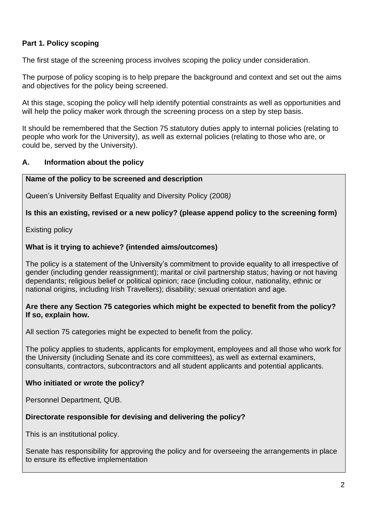# **Part 1. Policy scoping**

The first stage of the screening process involves scoping the policy under consideration.

The purpose of policy scoping is to help prepare the background and context and set out the aims and objectives for the policy being screened.

At this stage, scoping the policy will help identify potential constraints as well as opportunities and will help the policy maker work through the screening process on a step by step basis.

It should be remembered that the Section 75 statutory duties apply to internal policies (relating to people who work for the University), as well as external policies (relating to those who are, or could be, served by the University).

### **A. Information about the policy**

### **Name of the policy to be screened and description**

Queen's University Belfast Equality and Diversity Policy (2008*)*

### **Is this an existing, revised or a new policy? (please append policy to the screening form)**

Existing policy

### **What is it trying to achieve? (intended aims/outcomes)**

The policy is a statement of the University's commitment to provide equality to all irrespective of gender (including gender reassignment); marital or civil partnership status; having or not having dependants; religious belief or political opinion; race (including colour, nationality, ethnic or national origins, including Irish Travellers); disability; sexual orientation and age.

### **Are there any Section 75 categories which might be expected to benefit from the policy? If so, explain how.**

All section 75 categories might be expected to benefit from the policy.

The policy applies to students, applicants for employment, employees and all those who work for the University (including Senate and its core committees), as well as external examiners, consultants, contractors, subcontractors and all student applicants and potential applicants.

### **Who initiated or wrote the policy?**

Personnel Department, QUB.

### **Directorate responsible for devising and delivering the policy?**

This is an institutional policy.

Senate has responsibility for approving the policy and for overseeing the arrangements in place to ensure its effective implementation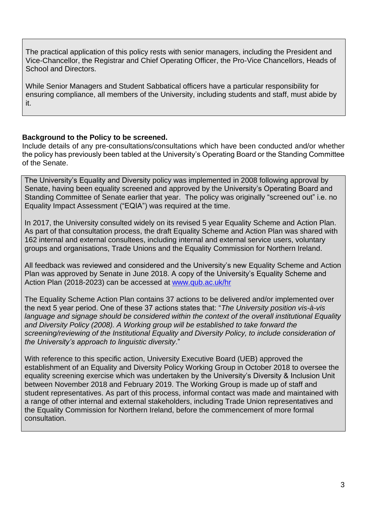The practical application of this policy rests with senior managers, including the President and Vice-Chancellor, the Registrar and Chief Operating Officer, the Pro-Vice Chancellors, Heads of School and Directors.

While Senior Managers and Student Sabbatical officers have a particular responsibility for ensuring compliance, all members of the University, including students and staff, must abide by it.

# **Background to the Policy to be screened.**

Include details of any pre-consultations/consultations which have been conducted and/or whether the policy has previously been tabled at the University's Operating Board or the Standing Committee of the Senate.

The University's Equality and Diversity policy was implemented in 2008 following approval by Senate, having been equality screened and approved by the University's Operating Board and Standing Committee of Senate earlier that year. The policy was originally "screened out" i.e. no Equality Impact Assessment ("EQIA") was required at the time.

In 2017, the University consulted widely on its revised 5 year Equality Scheme and Action Plan. As part of that consultation process, the draft Equality Scheme and Action Plan was shared with 162 internal and external consultees, including internal and external service users, voluntary groups and organisations, Trade Unions and the Equality Commission for Northern Ireland.

All feedback was reviewed and considered and the University's new Equality Scheme and Action Plan was approved by Senate in June 2018. A copy of the University's Equality Scheme and Action Plan (2018-2023) can be accessed at [www.qub.ac.uk/hr](http://www.qub.ac.uk/hr)

The Equality Scheme Action Plan contains 37 actions to be delivered and/or implemented over the next 5 year period. One of these 37 actions states that: "*The University position vis-à-vis language and signage should be considered within the context of the overall institutional Equality and Diversity Policy (2008). A Working group will be established to take forward the screening/reviewing of the Institutional Equality and Diversity Policy, to include consideration of the University's approach to linguistic diversity*."

With reference to this specific action, University Executive Board (UEB) approved the establishment of an Equality and Diversity Policy Working Group in October 2018 to oversee the equality screening exercise which was undertaken by the University's Diversity & Inclusion Unit between November 2018 and February 2019. The Working Group is made up of staff and student representatives. As part of this process, informal contact was made and maintained with a range of other internal and external stakeholders, including Trade Union representatives and the Equality Commission for Northern Ireland, before the commencement of more formal consultation.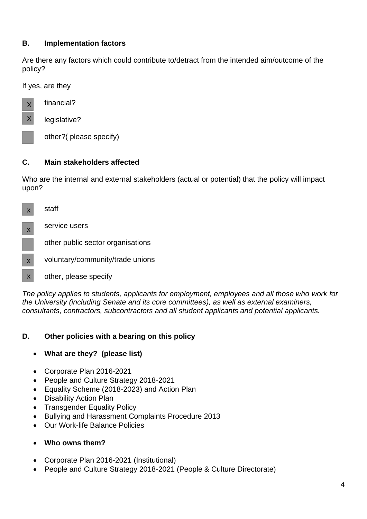# **B. Implementation factors**

Are there any factors which could contribute to/detract from the intended aim/outcome of the policy?

If yes, are they



financial?

legislative?

other?( please specify)

# **C. Main stakeholders affected**

Who are the internal and external stakeholders (actual or potential) that the policy will impact upon?



*The policy applies to students, applicants for employment, employees and all those who work for the University (including Senate and its core committees), as well as external examiners, consultants, contractors, subcontractors and all student applicants and potential applicants.*

# **D. Other policies with a bearing on this policy**

- **What are they? (please list)**
- Corporate Plan 2016-2021
- People and Culture Strategy 2018-2021
- Equality Scheme (2018-2023) and Action Plan
- Disability Action Plan
- Transgender Equality Policy
- Bullying and Harassment Complaints Procedure 2013
- Our Work-life Balance Policies
- **Who owns them?**
- Corporate Plan 2016-2021 (Institutional)
- People and Culture Strategy 2018-2021 (People & Culture Directorate)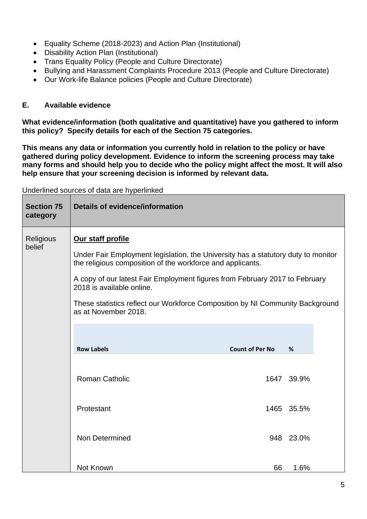- Equality Scheme (2018-2023) and Action Plan (Institutional)
- Disability Action Plan (Institutional)
- Trans Equality Policy (People and Culture Directorate)
- Bullying and Harassment Complaints Procedure 2013 (People and Culture Directorate)
- Our Work-life Balance policies (People and Culture Directorate)

### **E. Available evidence**

**What evidence/information (both qualitative and quantitative) have you gathered to inform this policy? Specify details for each of the Section 75 categories.**

**This means any data or information you currently hold in relation to the policy or have gathered during policy development. Evidence to inform the screening process may take many forms and should help you to decide who the policy might affect the most. It will also help ensure that your screening decision is informed by relevant data.** 

| <b>Section 75</b><br>category | <b>Details of evidence/information</b>                                                                                                                                                                                                                                                                                                                                                    |                        |            |
|-------------------------------|-------------------------------------------------------------------------------------------------------------------------------------------------------------------------------------------------------------------------------------------------------------------------------------------------------------------------------------------------------------------------------------------|------------------------|------------|
| <b>Religious</b><br>belief    | Our staff profile<br>Under Fair Employment legislation, the University has a statutory duty to monitor<br>the religious composition of the workforce and applicants.<br>A copy of our latest Fair Employment figures from February 2017 to February<br>2018 is available online.<br>These statistics reflect our Workforce Composition by NI Community Background<br>as at November 2018. |                        |            |
|                               | <b>Row Labels</b>                                                                                                                                                                                                                                                                                                                                                                         | <b>Count of Per No</b> | %          |
|                               | <b>Roman Catholic</b>                                                                                                                                                                                                                                                                                                                                                                     |                        | 1647 39.9% |
|                               | Protestant                                                                                                                                                                                                                                                                                                                                                                                |                        | 1465 35.5% |
|                               | Non Determined                                                                                                                                                                                                                                                                                                                                                                            |                        | 948 23.0%  |
|                               | Not Known                                                                                                                                                                                                                                                                                                                                                                                 | 66                     | 1.6%       |

Underlined sources of data are hyperlinked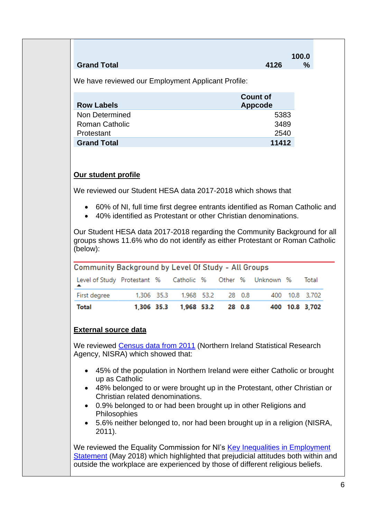|                    |      | 100.0 |
|--------------------|------|-------|
| <b>Grand Total</b> | 4126 | $\%$  |

We have reviewed our Employment Applicant Profile:

| <b>Row Labels</b>     | <b>Count of</b><br>Appcode |
|-----------------------|----------------------------|
| Non Determined        | 5383                       |
| <b>Roman Catholic</b> | 3489                       |
| Protestant            | 2540                       |
| <b>Grand Total</b>    | 11412                      |

# **Our student profile**

We reviewed our Student HESA data 2017-2018 which shows that

- 60% of NI, full time first degree entrants identified as Roman Catholic and
- 40% identified as Protestant or other Christian denominations.

Our Student HESA data 2017-2018 regarding the Community Background for all groups shows 11.6% who do not identify as either Protestant or Roman Catholic (below):

| Community Background by Level Of Study - All Groups      |            |  |                       |  |        |  |                |
|----------------------------------------------------------|------------|--|-----------------------|--|--------|--|----------------|
| Level of Study Protestant % Catholic % Other % Unknown % |            |  |                       |  |        |  | Total          |
| First degree                                             | 1,306 35.3 |  | 1,968 53.2            |  | 28 0.8 |  | 400 10.8 3,702 |
| Total                                                    |            |  | 1,306 35.3 1,968 53.2 |  | 28 0.8 |  | 400 10.8 3,702 |

# **External source data**

We reviewed [Census data from 2011](https://www.nisra.gov.uk/sites/nisra.gov.uk/files/publications/2011-census-results-key-statistics-statistics-bulletin-11-december-2012.pdf) (Northern Ireland Statistical Research Agency, NISRA) which showed that:

- 45% of the population in Northern Ireland were either Catholic or brought up as Catholic
- 48% belonged to or were brought up in the Protestant, other Christian or Christian related denominations.
- 0.9% belonged to or had been brought up in other Religions and Philosophies
- 5.6% neither belonged to, nor had been brought up in a religion (NISRA, 2011).

We reviewed the Equality Commission for NI's Key Inequalities in Employment [Statement](https://www.equalityni.org/ECNI/media/ECNI/Publications/Delivering%20Equality/Employment-KeyInequalitiesStatement.pdf) (May 2018) which highlighted that prejudicial attitudes both within and outside the workplace are experienced by those of different religious beliefs.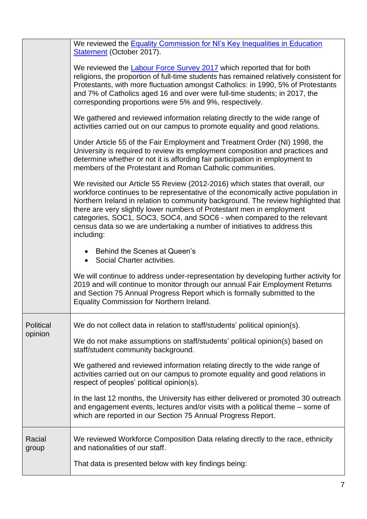|                  | We reviewed the Equality Commission for NI's Key Inequalities in Education<br>Statement (October 2017).                                                                                                                                                                                                                                                                                                                                                                                               |
|------------------|-------------------------------------------------------------------------------------------------------------------------------------------------------------------------------------------------------------------------------------------------------------------------------------------------------------------------------------------------------------------------------------------------------------------------------------------------------------------------------------------------------|
|                  | We reviewed the <b>Labour Force Survey 2017</b> which reported that for both<br>religions, the proportion of full-time students has remained relatively consistent for<br>Protestants, with more fluctuation amongst Catholics: in 1990, 5% of Protestants<br>and 7% of Catholics aged 16 and over were full-time students; in 2017, the<br>corresponding proportions were 5% and 9%, respectively.                                                                                                   |
|                  | We gathered and reviewed information relating directly to the wide range of<br>activities carried out on our campus to promote equality and good relations.                                                                                                                                                                                                                                                                                                                                           |
|                  | Under Article 55 of the Fair Employment and Treatment Order (NI) 1998, the<br>University is required to review its employment composition and practices and<br>determine whether or not it is affording fair participation in employment to<br>members of the Protestant and Roman Catholic communities.                                                                                                                                                                                              |
|                  | We revisited our Article 55 Review (2012-2016) which states that overall, our<br>workforce continues to be representative of the economically active population in<br>Northern Ireland in relation to community background. The review highlighted that<br>there are very slightly lower numbers of Protestant men in employment<br>categories, SOC1, SOC3, SOC4, and SOC6 - when compared to the relevant<br>census data so we are undertaking a number of initiatives to address this<br>including: |
|                  | Behind the Scenes at Queen's<br>• Social Charter activities.                                                                                                                                                                                                                                                                                                                                                                                                                                          |
|                  | We will continue to address under-representation by developing further activity for<br>2019 and will continue to monitor through our annual Fair Employment Returns<br>and Section 75 Annual Progress Report which is formally submitted to the<br>Equality Commission for Northern Ireland.                                                                                                                                                                                                          |
| <b>Political</b> | We do not collect data in relation to staff/students' political opinion(s).                                                                                                                                                                                                                                                                                                                                                                                                                           |
| opinion          | We do not make assumptions on staff/students' political opinion(s) based on<br>staff/student community background.                                                                                                                                                                                                                                                                                                                                                                                    |
|                  | We gathered and reviewed information relating directly to the wide range of<br>activities carried out on our campus to promote equality and good relations in<br>respect of peoples' political opinion(s).                                                                                                                                                                                                                                                                                            |
|                  | In the last 12 months, the University has either delivered or promoted 30 outreach<br>and engagement events, lectures and/or visits with a political theme – some of<br>which are reported in our Section 75 Annual Progress Report.                                                                                                                                                                                                                                                                  |
| Racial<br>group  | We reviewed Workforce Composition Data relating directly to the race, ethnicity<br>and nationalities of our staff.                                                                                                                                                                                                                                                                                                                                                                                    |
|                  | That data is presented below with key findings being:                                                                                                                                                                                                                                                                                                                                                                                                                                                 |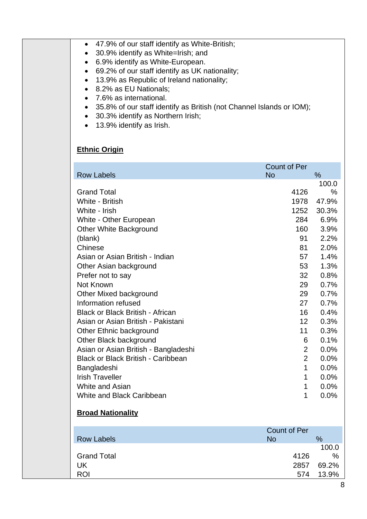| 47.9% of our staff identify as White-British;<br>٠<br>30.9% identify as White=Irish; and<br>$\bullet$<br>6.9% identify as White-European.<br>$\bullet$<br>69.2% of our staff identify as UK nationality;<br>$\bullet$<br>13.9% as Republic of Ireland nationality;<br>٠<br>8.2% as EU Nationals;<br>$\bullet$<br>7.6% as international.<br>$\bullet$<br>35.8% of our staff identify as British (not Channel Islands or IOM);<br>$\bullet$<br>30.3% identify as Northern Irish;<br>٠<br>13.9% identify as Irish.<br>$\bullet$ |                                  |                |
|------------------------------------------------------------------------------------------------------------------------------------------------------------------------------------------------------------------------------------------------------------------------------------------------------------------------------------------------------------------------------------------------------------------------------------------------------------------------------------------------------------------------------|----------------------------------|----------------|
| <b>Ethnic Origin</b>                                                                                                                                                                                                                                                                                                                                                                                                                                                                                                         |                                  |                |
| <b>Row Labels</b>                                                                                                                                                                                                                                                                                                                                                                                                                                                                                                            | <b>Count of Per</b><br><b>No</b> | %              |
|                                                                                                                                                                                                                                                                                                                                                                                                                                                                                                                              |                                  | 100.0          |
| <b>Grand Total</b>                                                                                                                                                                                                                                                                                                                                                                                                                                                                                                           | 4126                             | %              |
| White - British<br>White - Irish                                                                                                                                                                                                                                                                                                                                                                                                                                                                                             | 1978<br>1252                     | 47.9%<br>30.3% |
| White - Other European                                                                                                                                                                                                                                                                                                                                                                                                                                                                                                       | 284                              | 6.9%           |
| <b>Other White Background</b>                                                                                                                                                                                                                                                                                                                                                                                                                                                                                                | 160                              | 3.9%           |
| (blank)<br>Chinese                                                                                                                                                                                                                                                                                                                                                                                                                                                                                                           | 91                               | 2.2%<br>2.0%   |
| Asian or Asian British - Indian                                                                                                                                                                                                                                                                                                                                                                                                                                                                                              | 81<br>57                         | 1.4%           |
| Other Asian background                                                                                                                                                                                                                                                                                                                                                                                                                                                                                                       | 53                               | 1.3%           |
| Prefer not to say                                                                                                                                                                                                                                                                                                                                                                                                                                                                                                            | 32                               | 0.8%           |
| Not Known                                                                                                                                                                                                                                                                                                                                                                                                                                                                                                                    | 29<br>29                         | 0.7%<br>0.7%   |
| Other Mixed background<br>Information refused                                                                                                                                                                                                                                                                                                                                                                                                                                                                                | 27                               | 0.7%           |
| Black or Black British - African                                                                                                                                                                                                                                                                                                                                                                                                                                                                                             | 16                               | 0.4%           |
| Asian or Asian British - Pakistani                                                                                                                                                                                                                                                                                                                                                                                                                                                                                           | 12                               | 0.3%           |
| Other Ethnic background<br>Other Black background                                                                                                                                                                                                                                                                                                                                                                                                                                                                            | 11<br>6                          | 0.3%<br>0.1%   |
| Asian or Asian British - Bangladeshi                                                                                                                                                                                                                                                                                                                                                                                                                                                                                         | $\overline{2}$                   | 0.0%           |
| <b>Black or Black British - Caribbean</b>                                                                                                                                                                                                                                                                                                                                                                                                                                                                                    | $\overline{2}$                   | 0.0%           |
| Bangladeshi                                                                                                                                                                                                                                                                                                                                                                                                                                                                                                                  | 1                                | 0.0%           |
| <b>Irish Traveller</b><br>White and Asian                                                                                                                                                                                                                                                                                                                                                                                                                                                                                    | 1<br>1                           | 0.0%<br>0.0%   |
| White and Black Caribbean                                                                                                                                                                                                                                                                                                                                                                                                                                                                                                    | 1                                | 0.0%           |
| <b>Broad Nationality</b>                                                                                                                                                                                                                                                                                                                                                                                                                                                                                                     |                                  |                |
| <b>Row Labels</b>                                                                                                                                                                                                                                                                                                                                                                                                                                                                                                            | <b>Count of Per</b><br><b>No</b> | %              |
| <b>Grand Total</b>                                                                                                                                                                                                                                                                                                                                                                                                                                                                                                           | 4126                             | 100.0<br>℅     |
| UK                                                                                                                                                                                                                                                                                                                                                                                                                                                                                                                           | 2857                             | 69.2%          |
| <b>ROI</b>                                                                                                                                                                                                                                                                                                                                                                                                                                                                                                                   | 574                              | 13.9%          |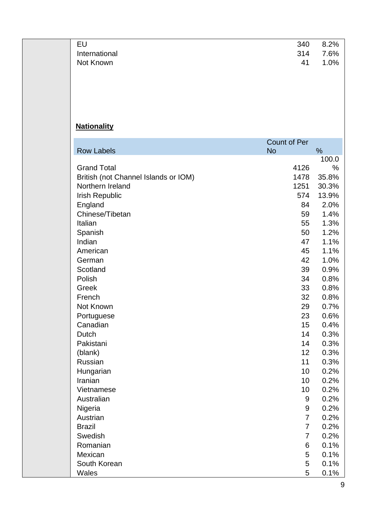| EU            | 340 | 8.2%    |
|---------------|-----|---------|
| International | 314 | 7.6%    |
| Not Known     | 41  | $1.0\%$ |
|               |     |         |

# **Nationality**

|                                      | <b>Count of Per</b> |            |
|--------------------------------------|---------------------|------------|
| <b>Row Labels</b>                    | <b>No</b>           | %<br>100.0 |
| <b>Grand Total</b>                   | 4126                | ℅          |
| British (not Channel Islands or IOM) | 1478                | 35.8%      |
| Northern Ireland                     | 1251                | 30.3%      |
| Irish Republic                       | 574                 | 13.9%      |
| England                              | 84                  | 2.0%       |
| Chinese/Tibetan                      | 59                  | 1.4%       |
| Italian                              | 55                  | 1.3%       |
| Spanish                              | 50                  | 1.2%       |
| Indian                               | 47                  | 1.1%       |
| American                             | 45                  | 1.1%       |
| German                               | 42                  | 1.0%       |
| Scotland                             | 39                  | 0.9%       |
| Polish                               | 34                  | 0.8%       |
| Greek                                | 33                  | 0.8%       |
| French                               | 32                  | 0.8%       |
| Not Known                            | 29                  | 0.7%       |
| Portuguese                           | 23                  | 0.6%       |
| Canadian                             | 15                  | 0.4%       |
| Dutch                                | 14                  | 0.3%       |
| Pakistani                            | 14                  | 0.3%       |
| (blank)                              | 12                  | 0.3%       |
| Russian                              | 11                  | 0.3%       |
| Hungarian                            | 10                  | 0.2%       |
| Iranian                              | 10                  | 0.2%       |
| Vietnamese                           | 10                  | 0.2%       |
| Australian                           | 9                   | 0.2%       |
| Nigeria                              | 9                   | 0.2%       |
| Austrian                             | 7                   | 0.2%       |
| <b>Brazil</b>                        | 7                   | 0.2%       |
| Swedish                              | $\overline{7}$      | 0.2%       |
| Romanian                             | 6                   | 0.1%       |
| Mexican                              | 5                   | 0.1%       |
| South Korean                         | 5                   | 0.1%       |
| Wales                                | 5                   | 0.1%       |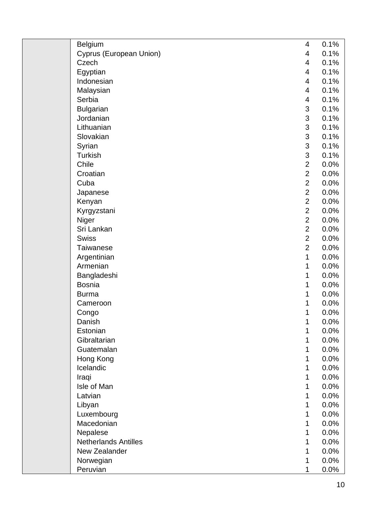| <b>Belgium</b>              | 4              | 0.1% |
|-----------------------------|----------------|------|
| Cyprus (European Union)     | 4              | 0.1% |
| Czech                       | 4              | 0.1% |
| Egyptian                    | 4              | 0.1% |
| Indonesian                  | 4              | 0.1% |
| Malaysian                   | 4              | 0.1% |
| Serbia                      | 4              | 0.1% |
| <b>Bulgarian</b>            | 3              | 0.1% |
| Jordanian                   | 3              | 0.1% |
| Lithuanian                  | 3              | 0.1% |
| Slovakian                   | 3              | 0.1% |
| Syrian                      | 3              | 0.1% |
| <b>Turkish</b>              | 3              | 0.1% |
| Chile                       | $\overline{2}$ | 0.0% |
| Croatian                    | $\overline{2}$ | 0.0% |
| Cuba                        | $\overline{2}$ | 0.0% |
| Japanese                    | $\overline{2}$ | 0.0% |
| Kenyan                      | $\overline{2}$ | 0.0% |
| Kyrgyzstani                 | $\overline{2}$ | 0.0% |
| Niger                       | $\overline{2}$ | 0.0% |
| Sri Lankan                  | $\overline{2}$ | 0.0% |
| <b>Swiss</b>                | $\overline{2}$ | 0.0% |
| <b>Taiwanese</b>            | $\overline{2}$ | 0.0% |
| Argentinian                 | 1              | 0.0% |
| Armenian                    | 1              | 0.0% |
| Bangladeshi                 | 1              | 0.0% |
| <b>Bosnia</b>               | 1              | 0.0% |
| <b>Burma</b>                | 1              | 0.0% |
| Cameroon                    | 1              | 0.0% |
| Congo                       | 1              | 0.0% |
| Danish                      | 1              | 0.0% |
| Estonian                    | 1              | 0.0% |
| Gibraltarian                | 1              | 0.0% |
| Guatemalan                  | 1              | 0.0% |
| Hong Kong                   | 1              | 0.0% |
| Icelandic                   | 1              | 0.0% |
| Iraqi                       | 1              | 0.0% |
| Isle of Man                 | 1              | 0.0% |
| Latvian                     | 1              | 0.0% |
| Libyan                      | 1              | 0.0% |
| Luxembourg                  | 1              | 0.0% |
| Macedonian                  | 1              | 0.0% |
| Nepalese                    | 1              | 0.0% |
| <b>Netherlands Antilles</b> | 1              | 0.0% |
| New Zealander               | 1              | 0.0% |
| Norwegian                   | 1              | 0.0% |
| Peruvian                    | 1              | 0.0% |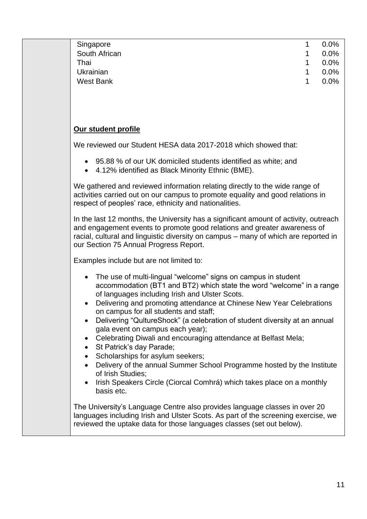| Singapore                                                                                                                                                                                                                                                                                                                                                                                                                                                                                                                                                                                                                                                                                                                                           | 1 | 0.0% |
|-----------------------------------------------------------------------------------------------------------------------------------------------------------------------------------------------------------------------------------------------------------------------------------------------------------------------------------------------------------------------------------------------------------------------------------------------------------------------------------------------------------------------------------------------------------------------------------------------------------------------------------------------------------------------------------------------------------------------------------------------------|---|------|
| South African                                                                                                                                                                                                                                                                                                                                                                                                                                                                                                                                                                                                                                                                                                                                       | 1 | 0.0% |
| Thai                                                                                                                                                                                                                                                                                                                                                                                                                                                                                                                                                                                                                                                                                                                                                | 1 | 0.0% |
| Ukrainian                                                                                                                                                                                                                                                                                                                                                                                                                                                                                                                                                                                                                                                                                                                                           | 1 | 0.0% |
| <b>West Bank</b>                                                                                                                                                                                                                                                                                                                                                                                                                                                                                                                                                                                                                                                                                                                                    | 1 | 0.0% |
|                                                                                                                                                                                                                                                                                                                                                                                                                                                                                                                                                                                                                                                                                                                                                     |   |      |
|                                                                                                                                                                                                                                                                                                                                                                                                                                                                                                                                                                                                                                                                                                                                                     |   |      |
|                                                                                                                                                                                                                                                                                                                                                                                                                                                                                                                                                                                                                                                                                                                                                     |   |      |
| Our student profile                                                                                                                                                                                                                                                                                                                                                                                                                                                                                                                                                                                                                                                                                                                                 |   |      |
| We reviewed our Student HESA data 2017-2018 which showed that:                                                                                                                                                                                                                                                                                                                                                                                                                                                                                                                                                                                                                                                                                      |   |      |
| 95.88 % of our UK domiciled students identified as white; and<br>4.12% identified as Black Minority Ethnic (BME).                                                                                                                                                                                                                                                                                                                                                                                                                                                                                                                                                                                                                                   |   |      |
| We gathered and reviewed information relating directly to the wide range of<br>activities carried out on our campus to promote equality and good relations in<br>respect of peoples' race, ethnicity and nationalities.                                                                                                                                                                                                                                                                                                                                                                                                                                                                                                                             |   |      |
| In the last 12 months, the University has a significant amount of activity, outreach<br>and engagement events to promote good relations and greater awareness of<br>racial, cultural and linguistic diversity on campus - many of which are reported in<br>our Section 75 Annual Progress Report.                                                                                                                                                                                                                                                                                                                                                                                                                                                   |   |      |
| Examples include but are not limited to:                                                                                                                                                                                                                                                                                                                                                                                                                                                                                                                                                                                                                                                                                                            |   |      |
| The use of multi-lingual "welcome" signs on campus in student<br>accommodation (BT1 and BT2) which state the word "welcome" in a range<br>of languages including Irish and Ulster Scots.<br>Delivering and promoting attendance at Chinese New Year Celebrations<br>on campus for all students and staff;<br>Delivering "QultureShock" (a celebration of student diversity at an annual<br>gala event on campus each year);<br>Celebrating Diwali and encouraging attendance at Belfast Mela;<br>St Patrick's day Parade;<br>Scholarships for asylum seekers;<br>Delivery of the annual Summer School Programme hosted by the Institute<br>of Irish Studies;<br>Irish Speakers Circle (Ciorcal Comhrá) which takes place on a monthly<br>basis etc. |   |      |
| The University's Language Centre also provides language classes in over 20<br>languages including Irish and Ulster Scots. As part of the screening exercise, we<br>reviewed the uptake data for those languages classes (set out below).                                                                                                                                                                                                                                                                                                                                                                                                                                                                                                            |   |      |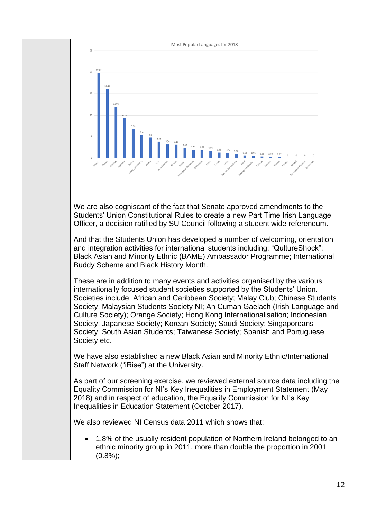

We are also cogniscant of the fact that Senate approved amendments to the Students' Union Constitutional Rules to create a new Part Time Irish Language Officer, a decision ratified by SU Council following a student wide referendum.

And that the Students Union has developed a number of welcoming, orientation and integration activities for international students including: "QultureShock"; Black Asian and Minority Ethnic (BAME) Ambassador Programme; International Buddy Scheme and Black History Month.

These are in addition to many events and activities organised by the various internationally focused student societies supported by the Students' Union. Societies include: African and Caribbean Society; Malay Club; Chinese Students Society; Malaysian Students Society NI; An Cuman Gaelach (Irish Language and Culture Society); Orange Society; Hong Kong Internationalisation; Indonesian Society; Japanese Society; Korean Society; Saudi Society; Singaporeans Society; South Asian Students; Taiwanese Society; Spanish and Portuguese Society etc.

We have also established a new Black Asian and Minority Ethnic/International Staff Network ("iRise") at the University.

As part of our screening exercise, we reviewed external source data including the Equality Commission for NI's Key Inequalities in Employment Statement (May 2018) and in respect of education, the Equality Commission for NI's Key Inequalities in Education Statement (October 2017).

We also reviewed NI Census data 2011 which shows that:

• 1.8% of the usually resident population of Northern Ireland belonged to an ethnic minority group in 2011, more than double the proportion in 2001  $(0.8\%)$ :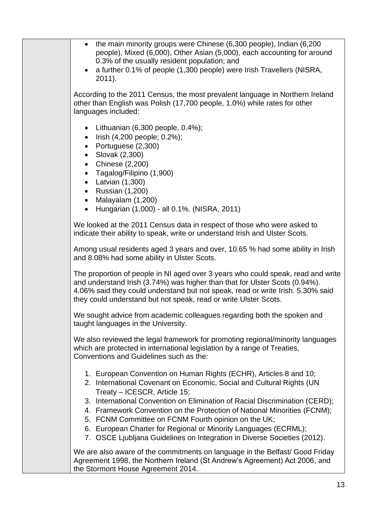| • the main minority groups were Chinese (6,300 people), Indian (6,200<br>people), Mixed (6,000), Other Asian (5,000), each accounting for around<br>0.3% of the usually resident population; and<br>a further 0.1% of people (1,300 people) were Irish Travellers (NISRA,<br>2011).                                                                                                                                                                                                                                                         |
|---------------------------------------------------------------------------------------------------------------------------------------------------------------------------------------------------------------------------------------------------------------------------------------------------------------------------------------------------------------------------------------------------------------------------------------------------------------------------------------------------------------------------------------------|
| According to the 2011 Census, the most prevalent language in Northern Ireland<br>other than English was Polish (17,700 people, 1.0%) while rates for other<br>languages included:                                                                                                                                                                                                                                                                                                                                                           |
| • Lithuanian $(6,300$ people, $0.4\%$ );<br>Irish (4,200 people; 0.2%);<br>$\bullet$<br>• Portuguese $(2,300)$<br>Slovak (2,300)<br>$\bullet$<br>• Chinese $(2,200)$<br>• Tagalog/Filipino (1,900)<br>$\bullet$ Latvian $(1,300)$<br>• Russian $(1,200)$<br>Malayalam (1,200)<br>$\bullet$<br>Hungarian (1,000) - all 0.1%. (NISRA, 2011)<br>$\bullet$                                                                                                                                                                                      |
| We looked at the 2011 Census data in respect of those who were asked to<br>indicate their ability to speak, write or understand Irish and Ulster Scots.                                                                                                                                                                                                                                                                                                                                                                                     |
| Among usual residents aged 3 years and over, 10.65 % had some ability in Irish<br>and 8.08% had some ability in Ulster Scots.                                                                                                                                                                                                                                                                                                                                                                                                               |
| The proportion of people in NI aged over 3 years who could speak, read and write<br>and understand Irish (3.74%) was higher than that for Ulster Scots (0.94%).<br>4.06% said they could understand but not speak, read or write Irish. 5.30% said<br>they could understand but not speak, read or write Ulster Scots.                                                                                                                                                                                                                      |
| We sought advice from academic colleagues regarding both the spoken and<br>taught languages in the University.                                                                                                                                                                                                                                                                                                                                                                                                                              |
| We also reviewed the legal framework for promoting regional/minority languages<br>which are protected in international legislation by a range of Treaties,<br>Conventions and Guidelines such as the:                                                                                                                                                                                                                                                                                                                                       |
| 1. European Convention on Human Rights (ECHR), Articles 8 and 10;<br>2. International Covenant on Economic, Social and Cultural Rights (UN<br>Treaty - ICESCR, Article 15;<br>3. International Convention on Elimination of Racial Discrimination (CERD);<br>4. Framework Convention on the Protection of National Minorities (FCNM);<br>5. FCNM Committee on FCNM Fourth opinion on the UK;<br>6. European Charter for Regional or Minority Languages (ECRML);<br>7. OSCE Ljubljana Guidelines on Integration in Diverse Societies (2012). |
| We are also aware of the commitments on language in the Belfast/ Good Friday<br>Agreement 1998, the Northern Ireland (St Andrew's Agreement) Act 2006, and<br>the Stormont House Agreement 2014.                                                                                                                                                                                                                                                                                                                                            |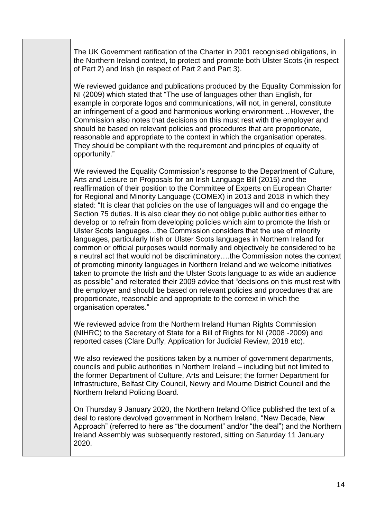The UK Government ratification of the Charter in 2001 recognised obligations, in the Northern Ireland context, to protect and promote both Ulster Scots (in respect of Part 2) and Irish (in respect of Part 2 and Part 3).

We reviewed guidance and publications produced by the Equality Commission for NI (2009) which stated that "The use of languages other than English, for example in corporate logos and communications, will not, in general, constitute an infringement of a good and harmonious working environment…However, the Commission also notes that decisions on this must rest with the employer and should be based on relevant policies and procedures that are proportionate, reasonable and appropriate to the context in which the organisation operates. They should be compliant with the requirement and principles of equality of opportunity."

We reviewed the Equality Commission's response to the Department of Culture, Arts and Leisure on Proposals for an Irish Language Bill (2015) and the reaffirmation of their position to the Committee of Experts on European Charter for Regional and Minority Language (COMEX) in 2013 and 2018 in which they stated: "It is clear that policies on the use of languages will and do engage the Section 75 duties. It is also clear they do not oblige public authorities either to develop or to refrain from developing policies which aim to promote the Irish or Ulster Scots languages…the Commission considers that the use of minority languages, particularly Irish or Ulster Scots languages in Northern Ireland for common or official purposes would normally and objectively be considered to be a neutral act that would not be discriminatory….the Commission notes the context of promoting minority languages in Northern Ireland and we welcome initiatives taken to promote the Irish and the Ulster Scots language to as wide an audience as possible" and reiterated their 2009 advice that "decisions on this must rest with the employer and should be based on relevant policies and procedures that are proportionate, reasonable and appropriate to the context in which the organisation operates."

We reviewed advice from the Northern Ireland Human Rights Commission (NIHRC) to the Secretary of State for a Bill of Rights for NI (2008 -2009) and reported cases (Clare Duffy, Application for Judicial Review, 2018 etc).

We also reviewed the positions taken by a number of government departments, councils and public authorities in Northern Ireland – including but not limited to the former Department of Culture, Arts and Leisure; the former Department for Infrastructure, Belfast City Council, Newry and Mourne District Council and the Northern Ireland Policing Board.

On Thursday 9 January 2020, the Northern Ireland Office published the text of a deal to restore devolved government in Northern Ireland, "New Decade, New Approach" (referred to here as "the document" and/or "the deal") and the Northern Ireland Assembly was subsequently restored, sitting on Saturday 11 January 2020.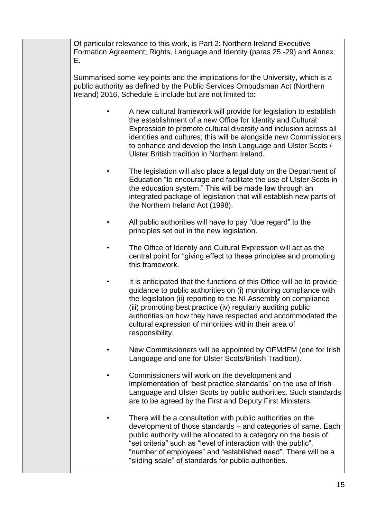| Е. | Of particular relevance to this work, is Part 2: Northern Ireland Executive<br>Formation Agreement; Rights, Language and Identity (paras 25 -29) and Annex                                                                                                                                                                                                                                                                |
|----|---------------------------------------------------------------------------------------------------------------------------------------------------------------------------------------------------------------------------------------------------------------------------------------------------------------------------------------------------------------------------------------------------------------------------|
|    | Summarised some key points and the implications for the University, which is a<br>public authority as defined by the Public Services Ombudsman Act (Northern<br>Ireland) 2016, Schedule E include but are not limited to:                                                                                                                                                                                                 |
|    | A new cultural framework will provide for legislation to establish<br>the establishment of a new Office for Identity and Cultural<br>Expression to promote cultural diversity and inclusion across all<br>identities and cultures; this will be alongside new Commissioners<br>to enhance and develop the Irish Language and Ulster Scots /<br>Ulster British tradition in Northern Ireland.                              |
|    | The legislation will also place a legal duty on the Department of<br>Education "to encourage and facilitate the use of Ulster Scots in<br>the education system." This will be made law through an<br>integrated package of legislation that will establish new parts of<br>the Northern Ireland Act (1998).                                                                                                               |
|    | All public authorities will have to pay "due regard" to the<br>principles set out in the new legislation.                                                                                                                                                                                                                                                                                                                 |
|    | The Office of Identity and Cultural Expression will act as the<br>central point for "giving effect to these principles and promoting<br>this framework.                                                                                                                                                                                                                                                                   |
|    | It is anticipated that the functions of this Office will be to provide<br>guidance to public authorities on (i) monitoring compliance with<br>the legislation (ii) reporting to the NI Assembly on compliance<br>(iii) promoting best practice (iv) regularly auditing public<br>authorities on how they have respected and accommodated the<br>cultural expression of minorities within their area of<br>responsibility. |
|    | New Commissioners will be appointed by OFMdFM (one for Irish<br>Language and one for Ulster Scots/British Tradition).                                                                                                                                                                                                                                                                                                     |
|    | Commissioners will work on the development and<br>implementation of "best practice standards" on the use of Irish<br>Language and Ulster Scots by public authorities. Such standards<br>are to be agreed by the First and Deputy First Ministers.                                                                                                                                                                         |
|    | There will be a consultation with public authorities on the<br>development of those standards - and categories of same. Each<br>public authority will be allocated to a category on the basis of<br>"set criteria" such as "level of interaction with the public",<br>"number of employees" and "established need". There will be a<br>"sliding scale" of standards for public authorities.                               |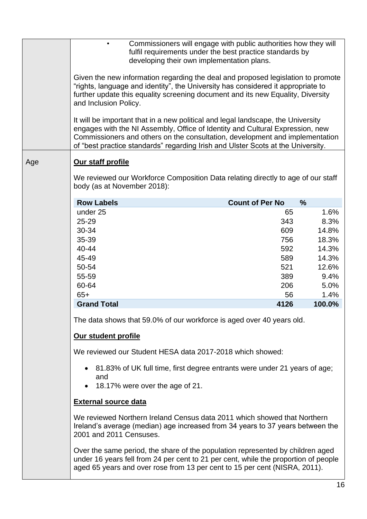|     | developing their own implementation plans.                                                                                                                                                                                                                                                                                            | Commissioners will engage with public authorities how they will<br>fulfil requirements under the best practice standards by |                |  |
|-----|---------------------------------------------------------------------------------------------------------------------------------------------------------------------------------------------------------------------------------------------------------------------------------------------------------------------------------------|-----------------------------------------------------------------------------------------------------------------------------|----------------|--|
|     | Given the new information regarding the deal and proposed legislation to promote<br>"rights, language and identity", the University has considered it appropriate to<br>further update this equality screening document and its new Equality, Diversity<br>and Inclusion Policy.                                                      |                                                                                                                             |                |  |
|     | It will be important that in a new political and legal landscape, the University<br>engages with the NI Assembly, Office of Identity and Cultural Expression, new<br>Commissioners and others on the consultation, development and implementation<br>of "best practice standards" regarding Irish and Ulster Scots at the University. |                                                                                                                             |                |  |
| Age | Our staff profile                                                                                                                                                                                                                                                                                                                     |                                                                                                                             |                |  |
|     | We reviewed our Workforce Composition Data relating directly to age of our staff<br>body (as at November 2018):                                                                                                                                                                                                                       |                                                                                                                             |                |  |
|     | <b>Row Labels</b>                                                                                                                                                                                                                                                                                                                     | <b>Count of Per No</b>                                                                                                      | %              |  |
|     | under 25                                                                                                                                                                                                                                                                                                                              | 65                                                                                                                          | 1.6%           |  |
|     | 25-29                                                                                                                                                                                                                                                                                                                                 | 343                                                                                                                         | 8.3%           |  |
|     | 30-34<br>35-39                                                                                                                                                                                                                                                                                                                        | 609<br>756                                                                                                                  | 14.8%<br>18.3% |  |
|     | 40-44                                                                                                                                                                                                                                                                                                                                 | 592                                                                                                                         | 14.3%          |  |
|     | 45-49                                                                                                                                                                                                                                                                                                                                 | 589                                                                                                                         | 14.3%          |  |
|     | 50-54                                                                                                                                                                                                                                                                                                                                 | 521                                                                                                                         | 12.6%          |  |
|     | 55-59                                                                                                                                                                                                                                                                                                                                 | 389                                                                                                                         | 9.4%           |  |
|     | 60-64                                                                                                                                                                                                                                                                                                                                 | 206                                                                                                                         | 5.0%           |  |
|     | $65+$                                                                                                                                                                                                                                                                                                                                 | 56                                                                                                                          | 1.4%<br>100.0% |  |
|     | <b>Grand Total</b>                                                                                                                                                                                                                                                                                                                    | 4126                                                                                                                        |                |  |
|     | The data shows that 59.0% of our workforce is aged over 40 years old.                                                                                                                                                                                                                                                                 |                                                                                                                             |                |  |
|     | Our student profile                                                                                                                                                                                                                                                                                                                   |                                                                                                                             |                |  |
|     | We reviewed our Student HESA data 2017-2018 which showed:                                                                                                                                                                                                                                                                             |                                                                                                                             |                |  |
|     | • 81.83% of UK full time, first degree entrants were under 21 years of age;<br>and<br>18.17% were over the age of 21.                                                                                                                                                                                                                 |                                                                                                                             |                |  |
|     | <b>External source data</b>                                                                                                                                                                                                                                                                                                           |                                                                                                                             |                |  |
|     | We reviewed Northern Ireland Census data 2011 which showed that Northern<br>Ireland's average (median) age increased from 34 years to 37 years between the<br>2001 and 2011 Censuses.                                                                                                                                                 |                                                                                                                             |                |  |
|     | Over the same period, the share of the population represented by children aged<br>under 16 years fell from 24 per cent to 21 per cent, while the proportion of people<br>aged 65 years and over rose from 13 per cent to 15 per cent (NISRA, 2011).                                                                                   |                                                                                                                             |                |  |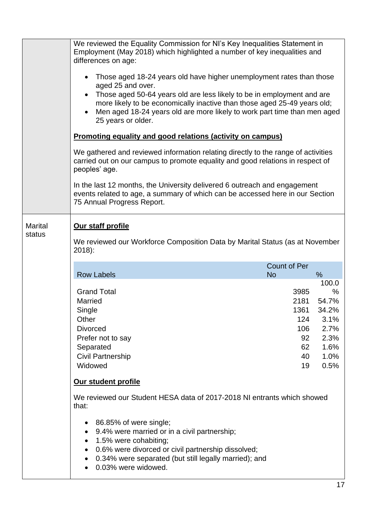|                | We reviewed the Equality Commission for NI's Key Inequalities Statement in                                                                                                                                                                      |                     |              |  |
|----------------|-------------------------------------------------------------------------------------------------------------------------------------------------------------------------------------------------------------------------------------------------|---------------------|--------------|--|
|                | Employment (May 2018) which highlighted a number of key inequalities and                                                                                                                                                                        |                     |              |  |
|                | differences on age:                                                                                                                                                                                                                             |                     |              |  |
|                | Those aged 18-24 years old have higher unemployment rates than those<br>aged 25 and over.                                                                                                                                                       |                     |              |  |
|                | Those aged 50-64 years old are less likely to be in employment and are                                                                                                                                                                          |                     |              |  |
|                | more likely to be economically inactive than those aged 25-49 years old;<br>Men aged 18-24 years old are more likely to work part time than men aged<br>25 years or older.<br><b>Promoting equality and good relations (activity on campus)</b> |                     |              |  |
|                |                                                                                                                                                                                                                                                 |                     |              |  |
|                |                                                                                                                                                                                                                                                 |                     |              |  |
|                | We gathered and reviewed information relating directly to the range of activities<br>carried out on our campus to promote equality and good relations in respect of<br>peoples' age.                                                            |                     |              |  |
|                | In the last 12 months, the University delivered 6 outreach and engagement<br>events related to age, a summary of which can be accessed here in our Section                                                                                      |                     |              |  |
|                | 75 Annual Progress Report.                                                                                                                                                                                                                      |                     |              |  |
| <b>Marital</b> | Our staff profile                                                                                                                                                                                                                               |                     |              |  |
| status         | We reviewed our Workforce Composition Data by Marital Status (as at November                                                                                                                                                                    |                     |              |  |
|                | $2018$ :                                                                                                                                                                                                                                        |                     |              |  |
|                |                                                                                                                                                                                                                                                 | <b>Count of Per</b> |              |  |
|                | <b>Row Labels</b>                                                                                                                                                                                                                               | <b>No</b>           | %<br>100.0   |  |
|                | <b>Grand Total</b>                                                                                                                                                                                                                              | 3985                | %            |  |
|                | <b>Married</b>                                                                                                                                                                                                                                  | 2181                | 54.7%        |  |
|                | Single                                                                                                                                                                                                                                          | 1361                | 34.2%        |  |
|                | Other<br><b>Divorced</b>                                                                                                                                                                                                                        | 124<br>106          | 3.1%<br>2.7% |  |
|                | Prefer not to say                                                                                                                                                                                                                               | 92                  | 2.3%         |  |
|                | Separated                                                                                                                                                                                                                                       | 62                  | 1.6%         |  |
|                | <b>Civil Partnership</b>                                                                                                                                                                                                                        | 40                  | 1.0%         |  |
|                | Widowed                                                                                                                                                                                                                                         | 19                  | 0.5%         |  |
|                | Our student profile                                                                                                                                                                                                                             |                     |              |  |
|                | We reviewed our Student HESA data of 2017-2018 NI entrants which showed<br>that:                                                                                                                                                                |                     |              |  |
|                | 86.85% of were single;<br>٠<br>9.4% were married or in a civil partnership;<br>$\bullet$                                                                                                                                                        |                     |              |  |
|                | 1.5% were cohabiting;<br>$\bullet$                                                                                                                                                                                                              |                     |              |  |
|                | 0.6% were divorced or civil partnership dissolved;                                                                                                                                                                                              |                     |              |  |
|                | 0.34% were separated (but still legally married); and<br>٠<br>0.03% were widowed.<br>$\bullet$                                                                                                                                                  |                     |              |  |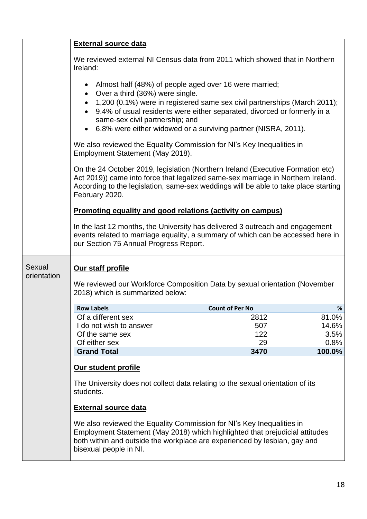|                       | <b>External source data</b>                                                                                                                                                                                                                                                                                                                                                       |                        |                |
|-----------------------|-----------------------------------------------------------------------------------------------------------------------------------------------------------------------------------------------------------------------------------------------------------------------------------------------------------------------------------------------------------------------------------|------------------------|----------------|
|                       | We reviewed external NI Census data from 2011 which showed that in Northern<br>Ireland:                                                                                                                                                                                                                                                                                           |                        |                |
|                       | Almost half (48%) of people aged over 16 were married;<br>$\bullet$<br>Over a third (36%) were single.<br>$\bullet$<br>1,200 (0.1%) were in registered same sex civil partnerships (March 2011);<br>9.4% of usual residents were either separated, divorced or formerly in a<br>same-sex civil partnership; and<br>6.8% were either widowed or a surviving partner (NISRA, 2011). |                        |                |
|                       | We also reviewed the Equality Commission for NI's Key Inequalities in<br>Employment Statement (May 2018).                                                                                                                                                                                                                                                                         |                        |                |
|                       | On the 24 October 2019, legislation (Northern Ireland (Executive Formation etc)<br>Act 2019)) came into force that legalized same-sex marriage in Northern Ireland.<br>According to the legislation, same-sex weddings will be able to take place starting<br>February 2020.                                                                                                      |                        |                |
|                       | <b>Promoting equality and good relations (activity on campus)</b>                                                                                                                                                                                                                                                                                                                 |                        |                |
|                       | In the last 12 months, the University has delivered 3 outreach and engagement<br>events related to marriage equality, a summary of which can be accessed here in<br>our Section 75 Annual Progress Report.                                                                                                                                                                        |                        |                |
| Sexual<br>orientation | Our staff profile<br>We reviewed our Workforce Composition Data by sexual orientation (November<br>2018) which is summarized below:                                                                                                                                                                                                                                               |                        |                |
|                       | <b>Row Labels</b>                                                                                                                                                                                                                                                                                                                                                                 | <b>Count of Per No</b> | %              |
|                       | Of a different sex                                                                                                                                                                                                                                                                                                                                                                | 2812                   | 81.0%          |
|                       | I do not wish to answer                                                                                                                                                                                                                                                                                                                                                           | 507                    | 14.6%          |
|                       | Of the same sex                                                                                                                                                                                                                                                                                                                                                                   | 122                    | 3.5%           |
|                       | Of either sex<br><b>Grand Total</b>                                                                                                                                                                                                                                                                                                                                               | 29<br>3470             | 0.8%<br>100.0% |
|                       |                                                                                                                                                                                                                                                                                                                                                                                   |                        |                |
|                       | Our student profile                                                                                                                                                                                                                                                                                                                                                               |                        |                |
|                       | The University does not collect data relating to the sexual orientation of its<br>students.                                                                                                                                                                                                                                                                                       |                        |                |
|                       | <b>External source data</b>                                                                                                                                                                                                                                                                                                                                                       |                        |                |
|                       | We also reviewed the Equality Commission for NI's Key Inequalities in<br>Employment Statement (May 2018) which highlighted that prejudicial attitudes<br>both within and outside the workplace are experienced by lesbian, gay and<br>bisexual people in NI.                                                                                                                      |                        |                |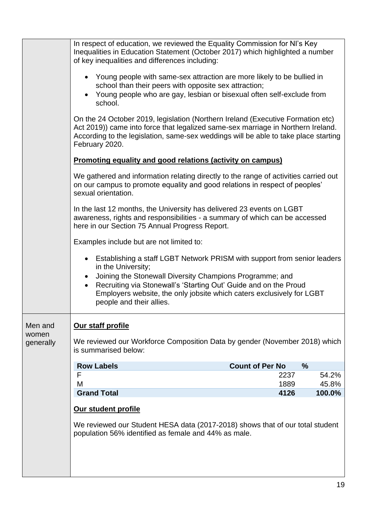|                    | In respect of education, we reviewed the Equality Commission for NI's Key<br>Inequalities in Education Statement (October 2017) which highlighted a number<br>of key inequalities and differences including:                                                                                                                          |
|--------------------|---------------------------------------------------------------------------------------------------------------------------------------------------------------------------------------------------------------------------------------------------------------------------------------------------------------------------------------|
|                    | • Young people with same-sex attraction are more likely to be bullied in<br>school than their peers with opposite sex attraction;<br>• Young people who are gay, lesbian or bisexual often self-exclude from<br>school.                                                                                                               |
|                    | On the 24 October 2019, legislation (Northern Ireland (Executive Formation etc)<br>Act 2019)) came into force that legalized same-sex marriage in Northern Ireland.<br>According to the legislation, same-sex weddings will be able to take place starting<br>February 2020.                                                          |
|                    | <b>Promoting equality and good relations (activity on campus)</b>                                                                                                                                                                                                                                                                     |
|                    | We gathered and information relating directly to the range of activities carried out<br>on our campus to promote equality and good relations in respect of peoples'<br>sexual orientation.                                                                                                                                            |
|                    | In the last 12 months, the University has delivered 23 events on LGBT<br>awareness, rights and responsibilities - a summary of which can be accessed<br>here in our Section 75 Annual Progress Report.                                                                                                                                |
|                    | Examples include but are not limited to:                                                                                                                                                                                                                                                                                              |
|                    | • Establishing a staff LGBT Network PRISM with support from senior leaders<br>in the University;<br>Joining the Stonewall Diversity Champions Programme; and<br>Recruiting via Stonewall's 'Starting Out' Guide and on the Proud<br>Employers website, the only jobsite which caters exclusively for LGBT<br>people and their allies. |
| Men and            | Our staff profile                                                                                                                                                                                                                                                                                                                     |
| women<br>generally | We reviewed our Workforce Composition Data by gender (November 2018) which<br>is summarised below:                                                                                                                                                                                                                                    |
|                    | <b>Row Labels</b><br><b>Count of Per No</b><br>$\frac{0}{0}$                                                                                                                                                                                                                                                                          |
|                    | F<br>2237<br>54.2%<br>M<br>1889<br>45.8%                                                                                                                                                                                                                                                                                              |
|                    | <b>Grand Total</b><br>4126<br>100.0%                                                                                                                                                                                                                                                                                                  |
|                    | Our student profile                                                                                                                                                                                                                                                                                                                   |
|                    | We reviewed our Student HESA data (2017-2018) shows that of our total student<br>population 56% identified as female and 44% as male.                                                                                                                                                                                                 |
|                    |                                                                                                                                                                                                                                                                                                                                       |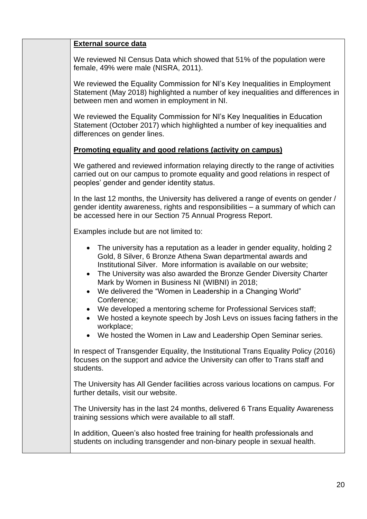| <b>External source data</b>                                                                                                                                                                                                                                                                                                                                                                                           |
|-----------------------------------------------------------------------------------------------------------------------------------------------------------------------------------------------------------------------------------------------------------------------------------------------------------------------------------------------------------------------------------------------------------------------|
| We reviewed NI Census Data which showed that 51% of the population were<br>female, 49% were male (NISRA, 2011).                                                                                                                                                                                                                                                                                                       |
| We reviewed the Equality Commission for NI's Key Inequalities in Employment<br>Statement (May 2018) highlighted a number of key inequalities and differences in<br>between men and women in employment in NI.                                                                                                                                                                                                         |
| We reviewed the Equality Commission for NI's Key Inequalities in Education<br>Statement (October 2017) which highlighted a number of key inequalities and<br>differences on gender lines.                                                                                                                                                                                                                             |
| <b>Promoting equality and good relations (activity on campus)</b>                                                                                                                                                                                                                                                                                                                                                     |
| We gathered and reviewed information relaying directly to the range of activities<br>carried out on our campus to promote equality and good relations in respect of<br>peoples' gender and gender identity status.                                                                                                                                                                                                    |
| In the last 12 months, the University has delivered a range of events on gender /<br>gender identity awareness, rights and responsibilities - a summary of which can<br>be accessed here in our Section 75 Annual Progress Report.                                                                                                                                                                                    |
| Examples include but are not limited to:                                                                                                                                                                                                                                                                                                                                                                              |
| The university has a reputation as a leader in gender equality, holding 2<br>Gold, 8 Silver, 6 Bronze Athena Swan departmental awards and<br>Institutional Silver. More information is available on our website;<br>The University was also awarded the Bronze Gender Diversity Charter<br>Mark by Women in Business NI (WIBNI) in 2018;<br>We delivered the "Women in Leadership in a Changing World"<br>Conference; |
| We developed a mentoring scheme for Professional Services staff;<br>We hosted a keynote speech by Josh Levs on issues facing fathers in the<br>workplace;<br>We hosted the Women in Law and Leadership Open Seminar series.                                                                                                                                                                                           |
| In respect of Transgender Equality, the Institutional Trans Equality Policy (2016)<br>focuses on the support and advice the University can offer to Trans staff and<br>students.                                                                                                                                                                                                                                      |
| The University has All Gender facilities across various locations on campus. For<br>further details, visit our website.                                                                                                                                                                                                                                                                                               |
| The University has in the last 24 months, delivered 6 Trans Equality Awareness<br>training sessions which were available to all staff.                                                                                                                                                                                                                                                                                |
| In addition, Queen's also hosted free training for health professionals and<br>students on including transgender and non-binary people in sexual health.                                                                                                                                                                                                                                                              |
|                                                                                                                                                                                                                                                                                                                                                                                                                       |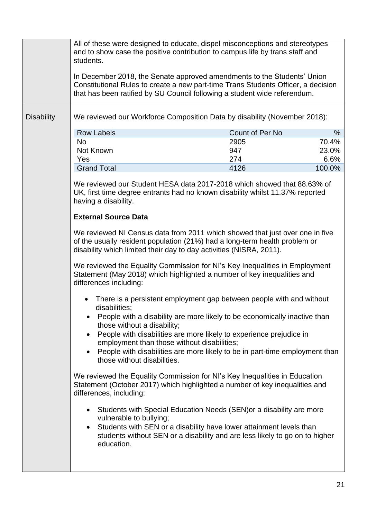|                                                                                                                                                                                                                                   | All of these were designed to educate, dispel misconceptions and stereotypes<br>and to show case the positive contribution to campus life by trans staff and<br>students.<br>In December 2018, the Senate approved amendments to the Students' Union<br>Constitutional Rules to create a new part-time Trans Students Officer, a decision<br>that has been ratified by SU Council following a student wide referendum. |                                                                                                                                                                                                                            |                        |
|-----------------------------------------------------------------------------------------------------------------------------------------------------------------------------------------------------------------------------------|------------------------------------------------------------------------------------------------------------------------------------------------------------------------------------------------------------------------------------------------------------------------------------------------------------------------------------------------------------------------------------------------------------------------|----------------------------------------------------------------------------------------------------------------------------------------------------------------------------------------------------------------------------|------------------------|
| <b>Disability</b>                                                                                                                                                                                                                 | We reviewed our Workforce Composition Data by disability (November 2018):<br><b>Row Labels</b><br><b>No</b><br>Not Known                                                                                                                                                                                                                                                                                               | Count of Per No<br>2905<br>947                                                                                                                                                                                             | $\%$<br>70.4%<br>23.0% |
|                                                                                                                                                                                                                                   | Yes                                                                                                                                                                                                                                                                                                                                                                                                                    | 274                                                                                                                                                                                                                        | 6.6%                   |
|                                                                                                                                                                                                                                   | <b>Grand Total</b>                                                                                                                                                                                                                                                                                                                                                                                                     | 4126                                                                                                                                                                                                                       | 100.0%                 |
|                                                                                                                                                                                                                                   | We reviewed our Student HESA data 2017-2018 which showed that 88.63% of<br>UK, first time degree entrants had no known disability whilst 11.37% reported<br>having a disability.                                                                                                                                                                                                                                       |                                                                                                                                                                                                                            |                        |
|                                                                                                                                                                                                                                   | <b>External Source Data</b>                                                                                                                                                                                                                                                                                                                                                                                            |                                                                                                                                                                                                                            |                        |
| We reviewed NI Census data from 2011 which showed that just over one in five<br>of the usually resident population (21%) had a long-term health problem or<br>disability which limited their day to day activities (NISRA, 2011). |                                                                                                                                                                                                                                                                                                                                                                                                                        |                                                                                                                                                                                                                            |                        |
|                                                                                                                                                                                                                                   | We reviewed the Equality Commission for NI's Key Inequalities in Employment<br>Statement (May 2018) which highlighted a number of key inequalities and<br>differences including:                                                                                                                                                                                                                                       |                                                                                                                                                                                                                            |                        |
|                                                                                                                                                                                                                                   | disabilities;                                                                                                                                                                                                                                                                                                                                                                                                          | There is a persistent employment gap between people with and without                                                                                                                                                       |                        |
|                                                                                                                                                                                                                                   | those without a disability;                                                                                                                                                                                                                                                                                                                                                                                            | People with a disability are more likely to be economically inactive than                                                                                                                                                  |                        |
|                                                                                                                                                                                                                                   | employment than those without disabilities;                                                                                                                                                                                                                                                                                                                                                                            | People with disabilities are more likely to experience prejudice in                                                                                                                                                        |                        |
|                                                                                                                                                                                                                                   | those without disabilities.                                                                                                                                                                                                                                                                                                                                                                                            | People with disabilities are more likely to be in part-time employment than                                                                                                                                                |                        |
|                                                                                                                                                                                                                                   | We reviewed the Equality Commission for NI's Key Inequalities in Education<br>Statement (October 2017) which highlighted a number of key inequalities and<br>differences, including:                                                                                                                                                                                                                                   |                                                                                                                                                                                                                            |                        |
|                                                                                                                                                                                                                                   | $\bullet$<br>vulnerable to bullying;<br>$\bullet$<br>education.                                                                                                                                                                                                                                                                                                                                                        | Students with Special Education Needs (SEN) or a disability are more<br>Students with SEN or a disability have lower attainment levels than<br>students without SEN or a disability and are less likely to go on to higher |                        |
|                                                                                                                                                                                                                                   |                                                                                                                                                                                                                                                                                                                                                                                                                        |                                                                                                                                                                                                                            |                        |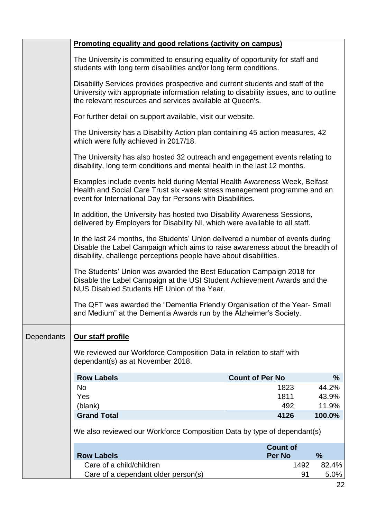|            | Promoting equality and good relations (activity on campus)                                                                                                                                                                           |                        |               |
|------------|--------------------------------------------------------------------------------------------------------------------------------------------------------------------------------------------------------------------------------------|------------------------|---------------|
|            | The University is committed to ensuring equality of opportunity for staff and<br>students with long term disabilities and/or long term conditions.                                                                                   |                        |               |
|            | Disability Services provides prospective and current students and staff of the<br>University with appropriate information relating to disability issues, and to outline<br>the relevant resources and services available at Queen's. |                        |               |
|            | For further detail on support available, visit our website.                                                                                                                                                                          |                        |               |
|            | The University has a Disability Action plan containing 45 action measures, 42<br>which were fully achieved in 2017/18.                                                                                                               |                        |               |
|            | The University has also hosted 32 outreach and engagement events relating to<br>disability, long term conditions and mental health in the last 12 months.                                                                            |                        |               |
|            | Examples include events held during Mental Health Awareness Week, Belfast<br>Health and Social Care Trust six -week stress management programme and an<br>event for International Day for Persons with Disabilities.                 |                        |               |
|            | In addition, the University has hosted two Disability Awareness Sessions,<br>delivered by Employers for Disability NI, which were available to all staff.                                                                            |                        |               |
|            | In the last 24 months, the Students' Union delivered a number of events during<br>Disable the Label Campaign which aims to raise awareness about the breadth of<br>disability, challenge perceptions people have about disabilities. |                        |               |
|            | The Students' Union was awarded the Best Education Campaign 2018 for<br>Disable the Label Campaign at the USI Student Achievement Awards and the<br>NUS Disabled Students HE Union of the Year.                                      |                        |               |
|            | The QFT was awarded the "Dementia Friendly Organisation of the Year-Small<br>and Medium" at the Dementia Awards run by the Alzheimer's Society.                                                                                      |                        |               |
| Dependants | Our staff profile                                                                                                                                                                                                                    |                        |               |
|            | We reviewed our Workforce Composition Data in relation to staff with<br>dependant(s) as at November 2018.                                                                                                                            |                        |               |
|            | <b>Row Labels</b>                                                                                                                                                                                                                    | <b>Count of Per No</b> | %             |
|            | <b>No</b>                                                                                                                                                                                                                            | 1823                   | 44.2%         |
|            | Yes                                                                                                                                                                                                                                  | 1811                   | 43.9%         |
|            | (blank)                                                                                                                                                                                                                              | 492                    | 11.9%         |
|            | <b>Grand Total</b>                                                                                                                                                                                                                   | 4126                   | 100.0%        |
|            | We also reviewed our Workforce Composition Data by type of dependant(s)                                                                                                                                                              |                        |               |
|            |                                                                                                                                                                                                                                      | <b>Count of</b>        |               |
|            | <b>Row Labels</b>                                                                                                                                                                                                                    | <b>Per No</b>          | %             |
|            | Care of a child/children<br>Care of a dependant older person(s)                                                                                                                                                                      | 1492<br>91             | 82.4%<br>5.0% |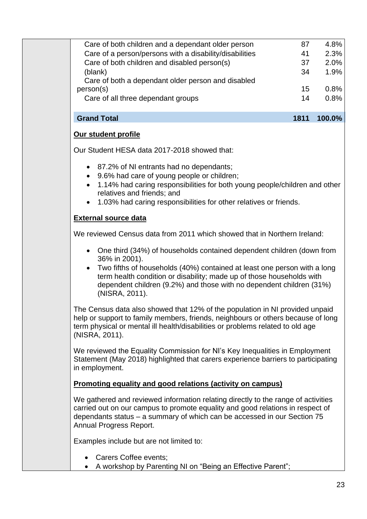| <b>Grand Total</b>                                      | 1811 | 100.0% |
|---------------------------------------------------------|------|--------|
| Care of all three dependant groups                      | 14   | 0.8%   |
| person(s)                                               | 15   | 0.8%   |
| Care of both a dependant older person and disabled      |      |        |
| (blank)                                                 | 34   | 1.9%   |
| Care of both children and disabled person(s)            | 37   | 2.0%   |
| Care of a person/persons with a disability/disabilities | 41   | 2.3%   |
| Care of both children and a dependant older person      | 87   | 4.8%   |
|                                                         |      |        |

# **Our student profile**

Our Student HESA data 2017-2018 showed that:

- 87.2% of NI entrants had no dependants;
- 9.6% had care of young people or children;
- 1.14% had caring responsibilities for both young people/children and other relatives and friends; and
- 1.03% had caring responsibilities for other relatives or friends.

# **External source data**

We reviewed Census data from 2011 which showed that in Northern Ireland:

- One third (34%) of households contained dependent children (down from 36% in 2001).
- Two fifths of households (40%) contained at least one person with a long term health condition or disability; made up of those households with dependent children (9.2%) and those with no dependent children (31%) (NISRA, 2011).

The Census data also showed that 12% of the population in NI provided unpaid help or support to family members, friends, neighbours or others because of long term physical or mental ill health/disabilities or problems related to old age (NISRA, 2011).

We reviewed the Equality Commission for NI's Key Inequalities in Employment Statement (May 2018) highlighted that carers experience barriers to participating in employment.

### **Promoting equality and good relations (activity on campus)**

We gathered and reviewed information relating directly to the range of activities carried out on our campus to promote equality and good relations in respect of dependants status – a summary of which can be accessed in our Section 75 Annual Progress Report.

Examples include but are not limited to:

- Carers Coffee events:
- A workshop by Parenting NI on "Being an Effective Parent";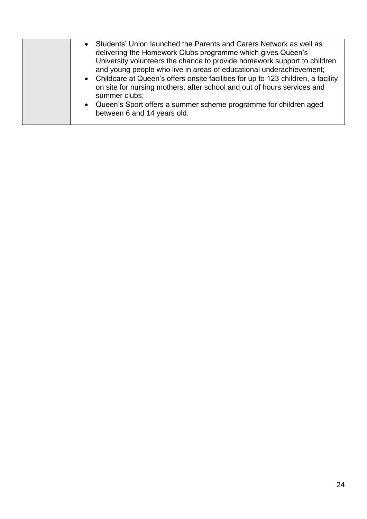| on site for nursing mothers, after school and out of hours services and<br>summer clubs;<br>• Queen's Sport offers a summer scheme programme for children aged<br>between 6 and 14 years old. |  | Students' Union launched the Parents and Carers Network as well as<br>delivering the Homework Clubs programme which gives Queen's<br>University volunteers the chance to provide homework support to children<br>and young people who live in areas of educational underachievement;<br>• Childcare at Queen's offers onsite facilities for up to 123 children, a facility |
|-----------------------------------------------------------------------------------------------------------------------------------------------------------------------------------------------|--|----------------------------------------------------------------------------------------------------------------------------------------------------------------------------------------------------------------------------------------------------------------------------------------------------------------------------------------------------------------------------|
|-----------------------------------------------------------------------------------------------------------------------------------------------------------------------------------------------|--|----------------------------------------------------------------------------------------------------------------------------------------------------------------------------------------------------------------------------------------------------------------------------------------------------------------------------------------------------------------------------|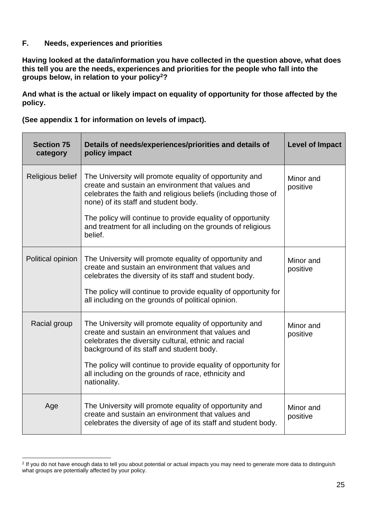### **F. Needs, experiences and priorities**

**Having looked at the data/information you have collected in the question above, what does this tell you are the needs, experiences and priorities for the people who fall into the groups below, in relation to your policy<sup>2</sup>?** 

**And what is the actual or likely impact on equality of opportunity for those affected by the policy.** 

**(See appendix 1 for information on levels of impact).** 

| <b>Section 75</b><br>category | Details of needs/experiences/priorities and details of<br>policy impact                                                                                                                                                                                                                                                                                         | <b>Level of Impact</b> |
|-------------------------------|-----------------------------------------------------------------------------------------------------------------------------------------------------------------------------------------------------------------------------------------------------------------------------------------------------------------------------------------------------------------|------------------------|
| Religious belief              | The University will promote equality of opportunity and<br>create and sustain an environment that values and<br>celebrates the faith and religious beliefs (including those of<br>none) of its staff and student body.<br>The policy will continue to provide equality of opportunity<br>and treatment for all including on the grounds of religious<br>belief. | Minor and<br>positive  |
| Political opinion             | The University will promote equality of opportunity and<br>create and sustain an environment that values and<br>celebrates the diversity of its staff and student body.<br>The policy will continue to provide equality of opportunity for<br>all including on the grounds of political opinion.                                                                | Minor and<br>positive  |
| Racial group                  | The University will promote equality of opportunity and<br>create and sustain an environment that values and<br>celebrates the diversity cultural, ethnic and racial<br>background of its staff and student body.<br>The policy will continue to provide equality of opportunity for<br>all including on the grounds of race, ethnicity and<br>nationality.     | Minor and<br>positive  |
| Age                           | The University will promote equality of opportunity and<br>create and sustain an environment that values and<br>celebrates the diversity of age of its staff and student body.                                                                                                                                                                                  | Minor and<br>positive  |

<sup>&</sup>lt;sup>2</sup> If you do not have enough data to tell you about potential or actual impacts you may need to generate more data to distinguish what groups are potentially affected by your policy.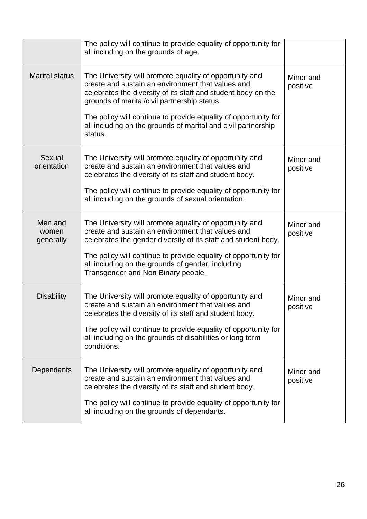|                               | The policy will continue to provide equality of opportunity for<br>all including on the grounds of age.                                                                                                                                                                                                                                                                      |                       |
|-------------------------------|------------------------------------------------------------------------------------------------------------------------------------------------------------------------------------------------------------------------------------------------------------------------------------------------------------------------------------------------------------------------------|-----------------------|
| <b>Marital status</b>         | The University will promote equality of opportunity and<br>create and sustain an environment that values and<br>celebrates the diversity of its staff and student body on the<br>grounds of marital/civil partnership status.<br>The policy will continue to provide equality of opportunity for<br>all including on the grounds of marital and civil partnership<br>status. | Minor and<br>positive |
| Sexual<br>orientation         | The University will promote equality of opportunity and<br>create and sustain an environment that values and<br>celebrates the diversity of its staff and student body.<br>The policy will continue to provide equality of opportunity for<br>all including on the grounds of sexual orientation.                                                                            | Minor and<br>positive |
| Men and<br>women<br>generally | The University will promote equality of opportunity and<br>create and sustain an environment that values and<br>celebrates the gender diversity of its staff and student body.<br>The policy will continue to provide equality of opportunity for<br>all including on the grounds of gender, including<br>Transgender and Non-Binary people.                                 | Minor and<br>positive |
| <b>Disability</b>             | The University will promote equality of opportunity and<br>create and sustain an environment that values and<br>celebrates the diversity of its staff and student body.<br>The policy will continue to provide equality of opportunity for<br>all including on the grounds of disabilities or long term<br>conditions.                                                       | Minor and<br>positive |
| Dependants                    | The University will promote equality of opportunity and<br>create and sustain an environment that values and<br>celebrates the diversity of its staff and student body.<br>The policy will continue to provide equality of opportunity for<br>all including on the grounds of dependants.                                                                                    | Minor and<br>positive |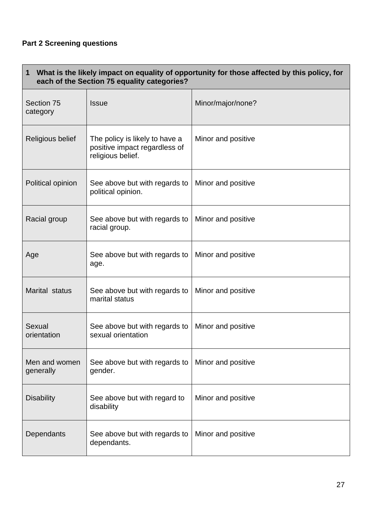# **Part 2 Screening questions**

| What is the likely impact on equality of opportunity for those affected by this policy, for<br>$\mathbf 1$<br>each of the Section 75 equality categories? |                                                                                      |                    |  |
|-----------------------------------------------------------------------------------------------------------------------------------------------------------|--------------------------------------------------------------------------------------|--------------------|--|
| Section 75<br>category                                                                                                                                    | <b>Issue</b>                                                                         | Minor/major/none?  |  |
| Religious belief                                                                                                                                          | The policy is likely to have a<br>positive impact regardless of<br>religious belief. | Minor and positive |  |
| Political opinion                                                                                                                                         | See above but with regards to<br>political opinion.                                  | Minor and positive |  |
| Racial group                                                                                                                                              | See above but with regards to<br>racial group.                                       | Minor and positive |  |
| Age                                                                                                                                                       | See above but with regards to<br>age.                                                | Minor and positive |  |
| Marital status                                                                                                                                            | See above but with regards to<br>marital status                                      | Minor and positive |  |
| Sexual<br>orientation                                                                                                                                     | See above but with regards to<br>sexual orientation                                  | Minor and positive |  |
| Men and women<br>generally                                                                                                                                | See above but with regards to<br>gender.                                             | Minor and positive |  |
| <b>Disability</b>                                                                                                                                         | See above but with regard to<br>disability                                           | Minor and positive |  |
| Dependants                                                                                                                                                | See above but with regards to<br>dependants.                                         | Minor and positive |  |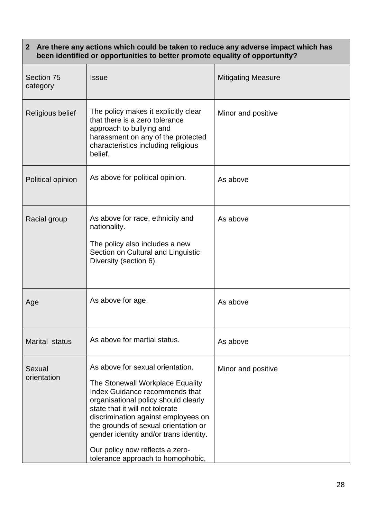### **2 Are there any actions which could be taken to reduce any adverse impact which has been identified or opportunities to better promote equality of opportunity?**

| Section 75<br>category | <b>Issue</b>                                                                                                                                                                                                                                                                                                                                                                       | <b>Mitigating Measure</b> |
|------------------------|------------------------------------------------------------------------------------------------------------------------------------------------------------------------------------------------------------------------------------------------------------------------------------------------------------------------------------------------------------------------------------|---------------------------|
| Religious belief       | The policy makes it explicitly clear<br>that there is a zero tolerance<br>approach to bullying and<br>harassment on any of the protected<br>characteristics including religious<br>belief.                                                                                                                                                                                         | Minor and positive        |
| Political opinion      | As above for political opinion.                                                                                                                                                                                                                                                                                                                                                    | As above                  |
| Racial group           | As above for race, ethnicity and<br>nationality.<br>The policy also includes a new<br>Section on Cultural and Linguistic<br>Diversity (section 6).                                                                                                                                                                                                                                 | As above                  |
| Age                    | As above for age.                                                                                                                                                                                                                                                                                                                                                                  | As above                  |
| Marital status         | As above for martial status.                                                                                                                                                                                                                                                                                                                                                       | As above                  |
| Sexual<br>orientation  | As above for sexual orientation.<br>The Stonewall Workplace Equality<br>Index Guidance recommends that<br>organisational policy should clearly<br>state that it will not tolerate<br>discrimination against employees on<br>the grounds of sexual orientation or<br>gender identity and/or trans identity.<br>Our policy now reflects a zero-<br>tolerance approach to homophobic, | Minor and positive        |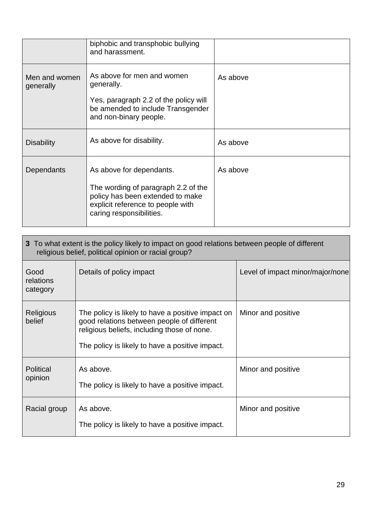|                            | biphobic and transphobic bullying<br>and harassment.                                                                                                                 |          |
|----------------------------|----------------------------------------------------------------------------------------------------------------------------------------------------------------------|----------|
| Men and women<br>generally | As above for men and women<br>generally.<br>Yes, paragraph 2.2 of the policy will<br>be amended to include Transgender<br>and non-binary people.                     | As above |
| <b>Disability</b>          | As above for disability.                                                                                                                                             | As above |
| Dependants                 | As above for dependants.<br>The wording of paragraph 2.2 of the<br>policy has been extended to make<br>explicit reference to people with<br>caring responsibilities. | As above |

| 3 To what extent is the policy likely to impact on good relations between people of different<br>religious belief, political opinion or racial group? |                                                                                                                                                                                                   |                                  |
|-------------------------------------------------------------------------------------------------------------------------------------------------------|---------------------------------------------------------------------------------------------------------------------------------------------------------------------------------------------------|----------------------------------|
| Good<br>relations<br>category                                                                                                                         | Details of policy impact                                                                                                                                                                          | Level of impact minor/major/none |
| <b>Religious</b><br>belief                                                                                                                            | The policy is likely to have a positive impact on<br>good relations between people of different<br>religious beliefs, including those of none.<br>The policy is likely to have a positive impact. | Minor and positive               |
| Political<br>opinion                                                                                                                                  | As above.<br>The policy is likely to have a positive impact.                                                                                                                                      | Minor and positive               |
| Racial group                                                                                                                                          | As above.<br>The policy is likely to have a positive impact.                                                                                                                                      | Minor and positive               |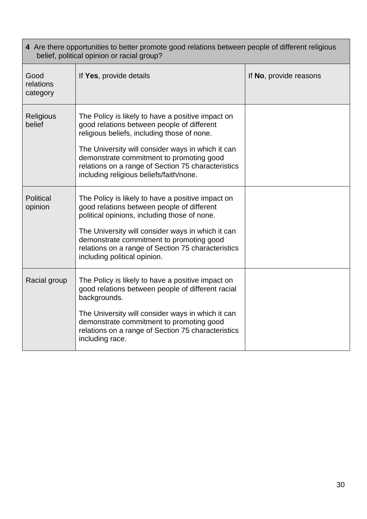| 4 Are there opportunities to better promote good relations between people of different religious<br>belief, political opinion or racial group? |                                                                                                                                                                                                                                                                                                                                                  |                        |
|------------------------------------------------------------------------------------------------------------------------------------------------|--------------------------------------------------------------------------------------------------------------------------------------------------------------------------------------------------------------------------------------------------------------------------------------------------------------------------------------------------|------------------------|
| Good<br>relations<br>category                                                                                                                  | If Yes, provide details                                                                                                                                                                                                                                                                                                                          | If No, provide reasons |
| Religious<br>belief                                                                                                                            | The Policy is likely to have a positive impact on<br>good relations between people of different<br>religious beliefs, including those of none.<br>The University will consider ways in which it can<br>demonstrate commitment to promoting good<br>relations on a range of Section 75 characteristics<br>including religious beliefs/faith/none. |                        |
| <b>Political</b><br>opinion                                                                                                                    | The Policy is likely to have a positive impact on<br>good relations between people of different<br>political opinions, including those of none.<br>The University will consider ways in which it can<br>demonstrate commitment to promoting good<br>relations on a range of Section 75 characteristics<br>including political opinion.           |                        |
| Racial group                                                                                                                                   | The Policy is likely to have a positive impact on<br>good relations between people of different racial<br>backgrounds.<br>The University will consider ways in which it can<br>demonstrate commitment to promoting good<br>relations on a range of Section 75 characteristics<br>including race.                                                 |                        |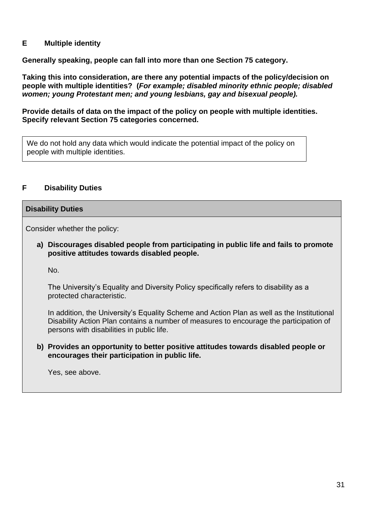### **E Multiple identity**

**Generally speaking, people can fall into more than one Section 75 category.** 

**Taking this into consideration, are there any potential impacts of the policy/decision on people with multiple identities? (***For example; disabled minority ethnic people; disabled women; young Protestant men; and young lesbians, gay and bisexual people).*

**Provide details of data on the impact of the policy on people with multiple identities. Specify relevant Section 75 categories concerned.**

We do not hold any data which would indicate the potential impact of the policy on people with multiple identities.

### **F Disability Duties**

#### **Disability Duties**

Consider whether the policy:

**a) Discourages disabled people from participating in public life and fails to promote positive attitudes towards disabled people.**

No.

The University's Equality and Diversity Policy specifically refers to disability as a protected characteristic.

In addition, the University's Equality Scheme and Action Plan as well as the Institutional Disability Action Plan contains a number of measures to encourage the participation of persons with disabilities in public life.

**b) Provides an opportunity to better positive attitudes towards disabled people or encourages their participation in public life.**

Yes, see above.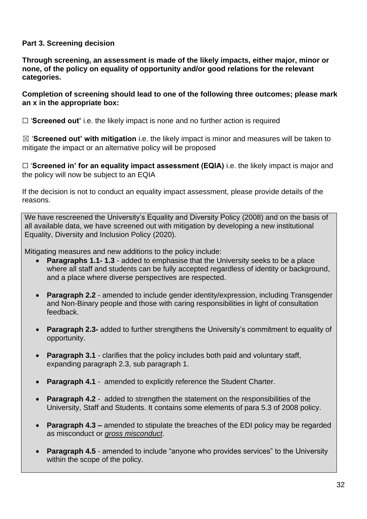# **Part 3. Screening decision**

**Through screening, an assessment is made of the likely impacts, either major, minor or none, of the policy on equality of opportunity and/or good relations for the relevant categories.** 

### **Completion of screening should lead to one of the following three outcomes; please mark an x in the appropriate box:**

☐ '**Screened out'** i.e. the likely impact is none and no further action is required

☒ '**Screened out' with mitigation** i.e. the likely impact is minor and measures will be taken to mitigate the impact or an alternative policy will be proposed

□ 'Screened in' for an equality impact assessment (EQIA) i.e. the likely impact is major and the policy will now be subject to an EQIA

If the decision is not to conduct an equality impact assessment, please provide details of the reasons.

We have rescreened the University's Equality and Diversity Policy (2008) and on the basis of all available data, we have screened out with mitigation by developing a new institutional Equality, Diversity and Inclusion Policy (2020).

Mitigating measures and new additions to the policy include:

- **Paragraphs 1.1- 1.3** added to emphasise that the University seeks to be a place where all staff and students can be fully accepted regardless of identity or background, and a place where diverse perspectives are respected.
- **Paragraph 2.2** amended to include gender identity/expression, including Transgender and Non-Binary people and those with caring responsibilities in light of consultation feedback.
- **Paragraph 2.3-** added to further strengthens the University's commitment to equality of opportunity.
- **Paragraph 3.1** clarifies that the policy includes both paid and voluntary staff, expanding paragraph 2.3, sub paragraph 1.
- **Paragraph 4.1** amended to explicitly reference the Student Charter.
- **Paragraph 4.2** added to strengthen the statement on the responsibilities of the University, Staff and Students. It contains some elements of para 5.3 of 2008 policy.
- **Paragraph 4.3 –** amended to stipulate the breaches of the EDI policy may be regarded as misconduct or *gross misconduct*.
- **Paragraph 4.5** amended to include "anyone who provides services" to the University within the scope of the policy.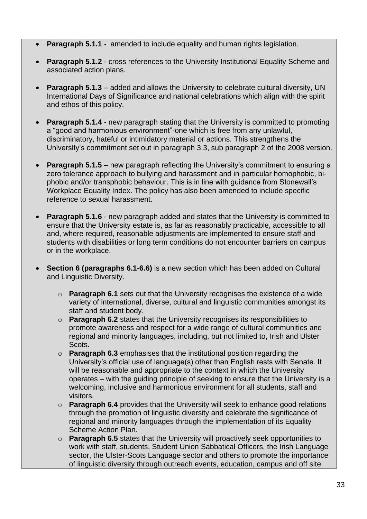- **Paragraph 5.1.1**  amended to include equality and human rights legislation.
- **Paragraph 5.1.2** cross references to the University Institutional Equality Scheme and associated action plans.
- **Paragraph 5.1.3**  added and allows the University to celebrate cultural diversity, UN International Days of Significance and national celebrations which align with the spirit and ethos of this policy.
- **Paragraph 5.1.4 -** new paragraph stating that the University is committed to promoting a "good and harmonious environment"-one which is free from any unlawful, discriminatory, hateful or intimidatory material or actions. This strengthens the University's commitment set out in paragraph 3.3, sub paragraph 2 of the 2008 version.
- **Paragraph 5.1.5 –** new paragraph reflecting the University's commitment to ensuring a zero tolerance approach to bullying and harassment and in particular homophobic, biphobic and/or transphobic behaviour. This is in line with guidance from Stonewall's Workplace Equality Index. The policy has also been amended to include specific reference to sexual harassment.
- **Paragraph 5.1.6**  new paragraph added and states that the University is committed to ensure that the University estate is, as far as reasonably practicable, accessible to all and, where required, reasonable adjustments are implemented to ensure staff and students with disabilities or long term conditions do not encounter barriers on campus or in the workplace.
- **Section 6 (paragraphs 6.1-6.6)** is a new section which has been added on Cultural and Linguistic Diversity.
	- o **Paragraph 6.1** sets out that the University recognises the existence of a wide variety of international, diverse, cultural and linguistic communities amongst its staff and student body.
	- o **Paragraph 6.2** states that the University recognises its responsibilities to promote awareness and respect for a wide range of cultural communities and regional and minority languages, including, but not limited to, Irish and Ulster Scots.
	- o **Paragraph 6.3** emphasises that the institutional position regarding the University's official use of language(s) other than English rests with Senate. It will be reasonable and appropriate to the context in which the University operates – with the guiding principle of seeking to ensure that the University is a welcoming, inclusive and harmonious environment for all students, staff and visitors.
	- o **Paragraph 6.4** provides that the University will seek to enhance good relations through the promotion of linguistic diversity and celebrate the significance of regional and minority languages through the implementation of its Equality Scheme Action Plan.
	- o **Paragraph 6.5** states that the University will proactively seek opportunities to work with staff, students, Student Union Sabbatical Officers, the Irish Language sector, the Ulster-Scots Language sector and others to promote the importance of linguistic diversity through outreach events, education, campus and off site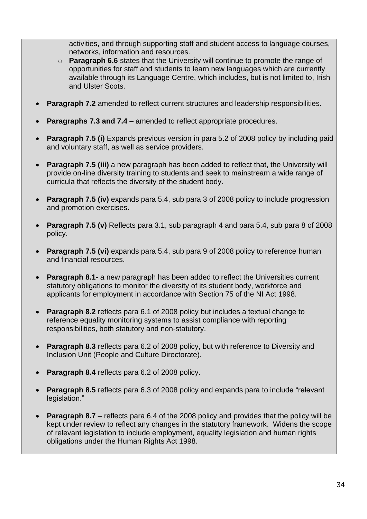activities, and through supporting staff and student access to language courses, networks, information and resources.

- o **Paragraph 6.6** states that the University will continue to promote the range of opportunities for staff and students to learn new languages which are currently available through its Language Centre, which includes, but is not limited to, Irish and Ulster Scots.
- **Paragraph 7.2** amended to reflect current structures and leadership responsibilities.
- **Paragraphs 7.3 and 7.4 –** amended to reflect appropriate procedures.
- **Paragraph 7.5 (i)** Expands previous version in para 5.2 of 2008 policy by including paid and voluntary staff, as well as service providers.
- **Paragraph 7.5 (iii)** a new paragraph has been added to reflect that, the University will provide on-line diversity training to students and seek to mainstream a wide range of curricula that reflects the diversity of the student body.
- **Paragraph 7.5 (iv)** expands para 5.4, sub para 3 of 2008 policy to include progression and promotion exercises.
- **Paragraph 7.5 (v)** Reflects para 3.1, sub paragraph 4 and para 5.4, sub para 8 of 2008 policy.
- **Paragraph 7.5 (vi)** expands para 5.4, sub para 9 of 2008 policy to reference human and financial resources.
- **Paragraph 8.1-** a new paragraph has been added to reflect the Universities current statutory obligations to monitor the diversity of its student body, workforce and applicants for employment in accordance with Section 75 of the NI Act 1998.
- **Paragraph 8.2** reflects para 6.1 of 2008 policy but includes a textual change to reference equality monitoring systems to assist compliance with reporting responsibilities, both statutory and non-statutory.
- **Paragraph 8.3** reflects para 6.2 of 2008 policy, but with reference to Diversity and Inclusion Unit (People and Culture Directorate).
- **Paragraph 8.4** reflects para 6.2 of 2008 policy.
- **Paragraph 8.5** reflects para 6.3 of 2008 policy and expands para to include "relevant legislation."
- **Paragraph 8.7** reflects para 6.4 of the 2008 policy and provides that the policy will be kept under review to reflect any changes in the statutory framework. Widens the scope of relevant legislation to include employment, equality legislation and human rights obligations under the Human Rights Act 1998.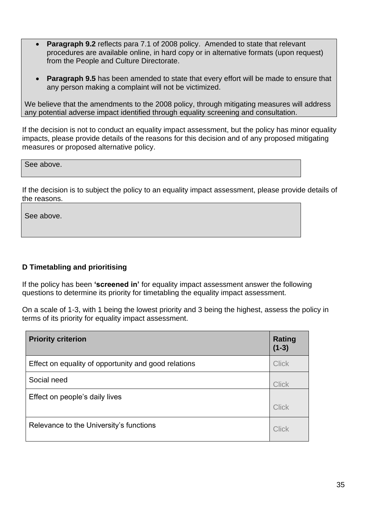- **Paragraph 9.2** reflects para 7.1 of 2008 policy. Amended to state that relevant procedures are available online, in hard copy or in alternative formats (upon request) from the People and Culture Directorate.
- **Paragraph 9.5** has been amended to state that every effort will be made to ensure that any person making a complaint will not be victimized.

We believe that the amendments to the 2008 policy, through mitigating measures will address any potential adverse impact identified through equality screening and consultation.

If the decision is not to conduct an equality impact assessment, but the policy has minor equality impacts, please provide details of the reasons for this decision and of any proposed mitigating measures or proposed alternative policy.

See above.

If the decision is to subject the policy to an equality impact assessment, please provide details of the reasons.

See above.

### **D Timetabling and prioritising**

If the policy has been **'screened in'** for equality impact assessment answer the following questions to determine its priority for timetabling the equality impact assessment.

On a scale of 1-3, with 1 being the lowest priority and 3 being the highest, assess the policy in terms of its priority for equality impact assessment.

| <b>Priority criterion</b>                            | <b>Rating</b><br>$(1-3)$ |
|------------------------------------------------------|--------------------------|
| Effect on equality of opportunity and good relations | <b>Click</b>             |
| Social need                                          | <b>Click</b>             |
| Effect on people's daily lives                       | <b>Click</b>             |
| Relevance to the University's functions              | Click                    |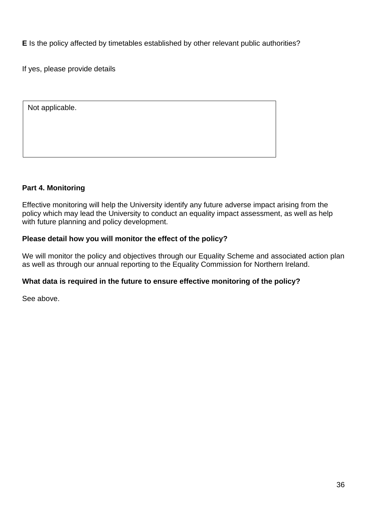**E** Is the policy affected by timetables established by other relevant public authorities?

If yes, please provide details

| Not applicable. |  |  |
|-----------------|--|--|
|                 |  |  |
|                 |  |  |
|                 |  |  |

# **Part 4. Monitoring**

Effective monitoring will help the University identify any future adverse impact arising from the policy which may lead the University to conduct an equality impact assessment, as well as help with future planning and policy development.

# **Please detail how you will monitor the effect of the policy?**

We will monitor the policy and objectives through our Equality Scheme and associated action plan as well as through our annual reporting to the Equality Commission for Northern Ireland.

### **What data is required in the future to ensure effective monitoring of the policy?**

See above.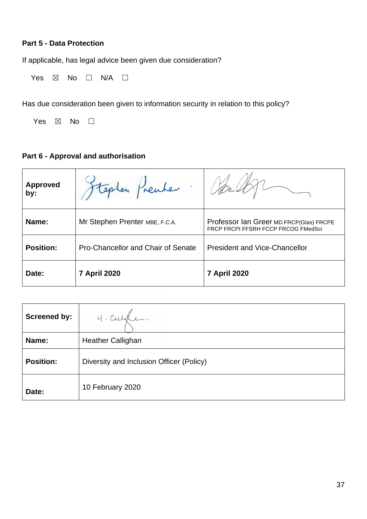# **Part 5 - Data Protection**

If applicable, has legal advice been given due consideration?

Yes  $\boxtimes$  No  $\Box$  N/A  $\Box$ 

Has due consideration been given to information security in relation to this policy?

Yes  $\boxtimes$  No  $\square$ 

# **Part 6 - Approval and authorisation**

| <b>Approved</b><br>by: | Epten Prenter                             |                                                                                |
|------------------------|-------------------------------------------|--------------------------------------------------------------------------------|
| Name:                  | Mr Stephen Prenter MBE, F.C.A.            | Professor Ian Greer MD FRCP(Glas) FRCPE<br>FRCP FRCPI FFSRH FCCP FRCOG FMedSci |
| <b>Position:</b>       | <b>Pro-Chancellor and Chair of Senate</b> | <b>President and Vice-Chancellor</b>                                           |
| Date:                  | <b>7 April 2020</b>                       | <b>7 April 2020</b>                                                            |

| <b>Screened by:</b> | H. Callede.                              |
|---------------------|------------------------------------------|
| Name:               | <b>Heather Callighan</b>                 |
| <b>Position:</b>    | Diversity and Inclusion Officer (Policy) |
| Date:               | 10 February 2020                         |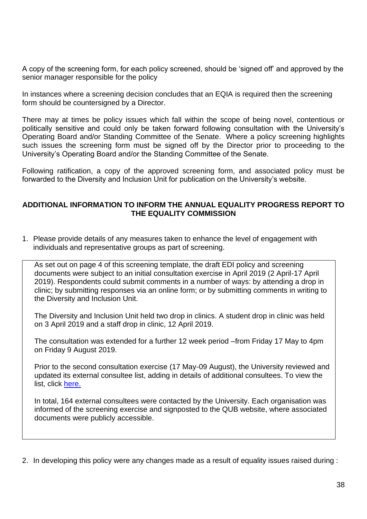A copy of the screening form, for each policy screened, should be 'signed off' and approved by the senior manager responsible for the policy

In instances where a screening decision concludes that an EQIA is required then the screening form should be countersigned by a Director.

There may at times be policy issues which fall within the scope of being novel, contentious or politically sensitive and could only be taken forward following consultation with the University's Operating Board and/or Standing Committee of the Senate. Where a policy screening highlights such issues the screening form must be signed off by the Director prior to proceeding to the University's Operating Board and/or the Standing Committee of the Senate.

Following ratification, a copy of the approved screening form, and associated policy must be forwarded to the Diversity and Inclusion Unit for publication on the University's website.

#### **ADDITIONAL INFORMATION TO INFORM THE ANNUAL EQUALITY PROGRESS REPORT TO THE EQUALITY COMMISSION**

1. Please provide details of any measures taken to enhance the level of engagement with individuals and representative groups as part of screening.

As set out on page 4 of this screening template, the draft EDI policy and screening documents were subject to an initial consultation exercise in April 2019 (2 April-17 April 2019). Respondents could submit comments in a number of ways: by attending a drop in clinic; by submitting responses via an online form; or by submitting comments in writing to the Diversity and Inclusion Unit.

The Diversity and Inclusion Unit held two drop in clinics. A student drop in clinic was held on 3 April 2019 and a staff drop in clinic, 12 April 2019.

The consultation was extended for a further 12 week period –from Friday 17 May to 4pm on Friday 9 August 2019.

Prior to the second consultation exercise (17 May-09 August), the University reviewed and updated its external consultee list, adding in details of additional consultees. To view the list, click [here.](https://www.qub.ac.uk/directorates/HumanResources/hr-filestore/Filetoupload,895848,en.pdf)

In total, 164 external consultees were contacted by the University. Each organisation was informed of the screening exercise and signposted to the QUB website, where associated documents were publicly accessible.

2. In developing this policy were any changes made as a result of equality issues raised during :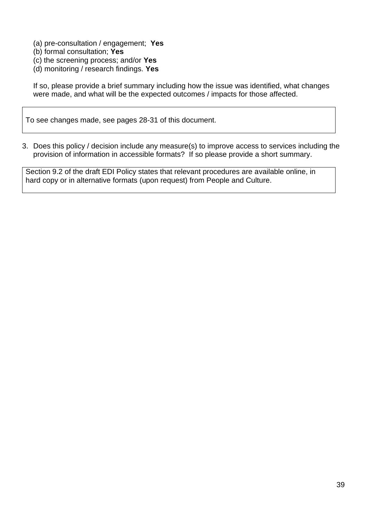- (a) pre-consultation / engagement; **Yes**
- (b) formal consultation; **Yes**
- (c) the screening process; and/or **Yes**
- (d) monitoring / research findings. **Yes**

If so, please provide a brief summary including how the issue was identified, what changes were made, and what will be the expected outcomes / impacts for those affected.

To see changes made, see pages 28-31 of this document.

3. Does this policy / decision include any measure(s) to improve access to services including the provision of information in accessible formats? If so please provide a short summary.

Section 9.2 of the draft EDI Policy states that relevant procedures are available online, in hard copy or in alternative formats (upon request) from People and Culture.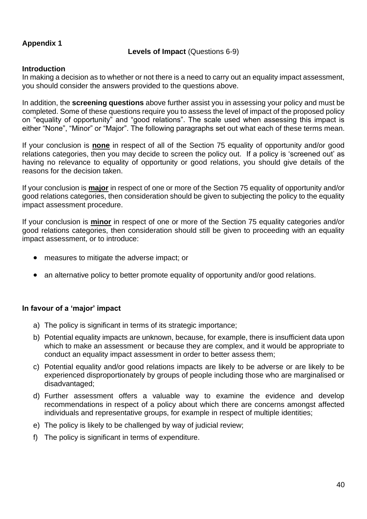# **Appendix 1**

### **Levels of Impact** (Questions 6-9)

### **Introduction**

In making a decision as to whether or not there is a need to carry out an equality impact assessment, you should consider the answers provided to the questions above.

In addition, the **screening questions** above further assist you in assessing your policy and must be completed. Some of these questions require you to assess the level of impact of the proposed policy on "equality of opportunity" and "good relations". The scale used when assessing this impact is either "None", "Minor" or "Major". The following paragraphs set out what each of these terms mean.

If your conclusion is **none** in respect of all of the Section 75 equality of opportunity and/or good relations categories, then you may decide to screen the policy out. If a policy is 'screened out' as having no relevance to equality of opportunity or good relations, you should give details of the reasons for the decision taken.

If your conclusion is **major** in respect of one or more of the Section 75 equality of opportunity and/or good relations categories, then consideration should be given to subjecting the policy to the equality impact assessment procedure.

If your conclusion is **minor** in respect of one or more of the Section 75 equality categories and/or good relations categories, then consideration should still be given to proceeding with an equality impact assessment, or to introduce:

- measures to mitigate the adverse impact; or
- an alternative policy to better promote equality of opportunity and/or good relations.

### **In favour of a 'major' impact**

- a) The policy is significant in terms of its strategic importance;
- b) Potential equality impacts are unknown, because, for example, there is insufficient data upon which to make an assessment or because they are complex, and it would be appropriate to conduct an equality impact assessment in order to better assess them;
- c) Potential equality and/or good relations impacts are likely to be adverse or are likely to be experienced disproportionately by groups of people including those who are marginalised or disadvantaged;
- d) Further assessment offers a valuable way to examine the evidence and develop recommendations in respect of a policy about which there are concerns amongst affected individuals and representative groups, for example in respect of multiple identities;
- e) The policy is likely to be challenged by way of judicial review;
- f) The policy is significant in terms of expenditure.